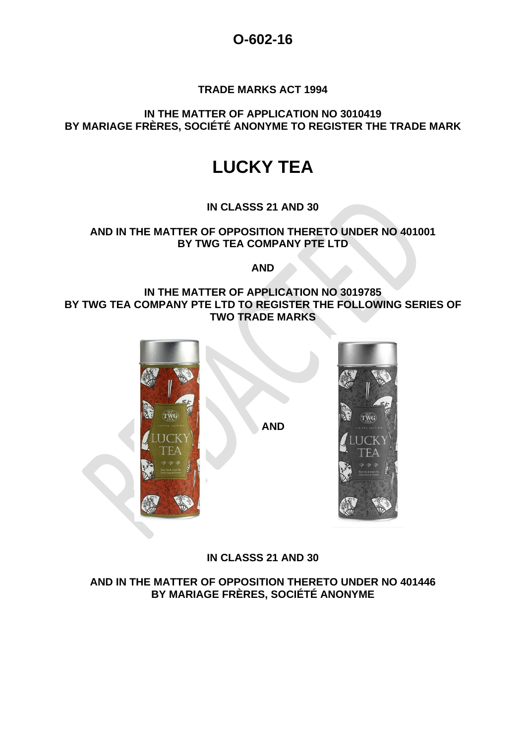## **O-602-16**

#### **TRADE MARKS ACT 1994**

**IN THE MATTER OF APPLICATION NO 3010419 BY MARIAGE FRÈRES, SOCIÉTÉ ANONYME TO REGISTER THE TRADE MARK**

# **LUCKY TEA**

**IN CLASSS 21 AND 30**

#### **AND IN THE MATTER OF OPPOSITION THERETO UNDER NO 401001 BY TWG TEA COMPANY PTE LTD**

**AND**

#### **IN THE MATTER OF APPLICATION NO 3019785 BY TWG TEA COMPANY PTE LTD TO REGISTER THE FOLLOWING SERIES OF TWO TRADE MARKS**



### **IN CLASSS 21 AND 30**

**AND IN THE MATTER OF OPPOSITION THERETO UNDER NO 401446 BY MARIAGE FRÈRES, SOCIÉTÉ ANONYME**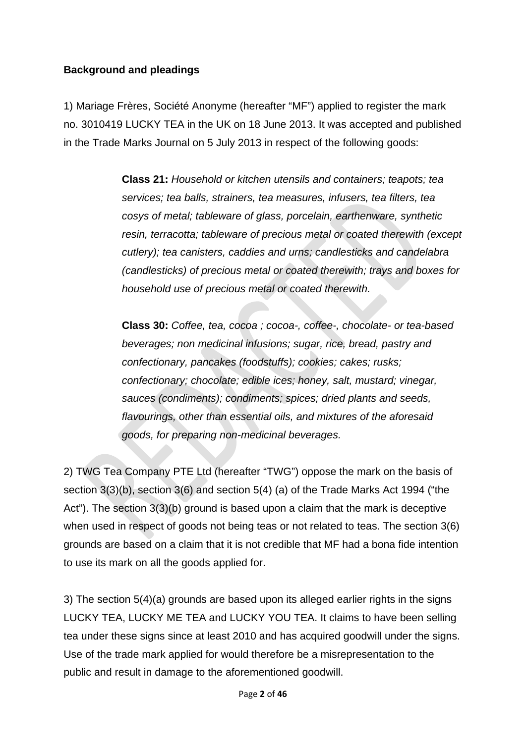## **Background and pleadings**

1) Mariage Frères, Société Anonyme (hereafter "MF") applied to register the mark no. 3010419 LUCKY TEA in the UK on 18 June 2013. It was accepted and published in the Trade Marks Journal on 5 July 2013 in respect of the following goods:

> **Class 21:** *Household or kitchen utensils and containers; teapots; tea services; tea balls, strainers, tea measures, infusers, tea filters, tea cosys of metal; tableware of glass, porcelain, earthenware, synthetic resin, terracotta; tableware of precious metal or coated therewith (except cutlery); tea canisters, caddies and urns; candlesticks and candelabra (candlesticks) of precious metal or coated therewith; trays and boxes for household use of precious metal or coated therewith.*

**Class 30:** *Coffee, tea, cocoa ; cocoa-, coffee-, chocolate- or tea-based beverages; non medicinal infusions; sugar, rice, bread, pastry and confectionary, pancakes (foodstuffs); cookies; cakes; rusks; confectionary; chocolate; edible ices; honey, salt, mustard; vinegar, sauces (condiments); condiments; spices; dried plants and seeds, flavourings, other than essential oils, and mixtures of the aforesaid goods, for preparing non-medicinal beverages.*

2) TWG Tea Company PTE Ltd (hereafter "TWG") oppose the mark on the basis of section 3(3)(b), section 3(6) and section 5(4) (a) of the Trade Marks Act 1994 ("the Act"). The section 3(3)(b) ground is based upon a claim that the mark is deceptive when used in respect of goods not being teas or not related to teas. The section 3(6) grounds are based on a claim that it is not credible that MF had a bona fide intention to use its mark on all the goods applied for.

3) The section 5(4)(a) grounds are based upon its alleged earlier rights in the signs LUCKY TEA, LUCKY ME TEA and LUCKY YOU TEA. It claims to have been selling tea under these signs since at least 2010 and has acquired goodwill under the signs. Use of the trade mark applied for would therefore be a misrepresentation to the public and result in damage to the aforementioned goodwill.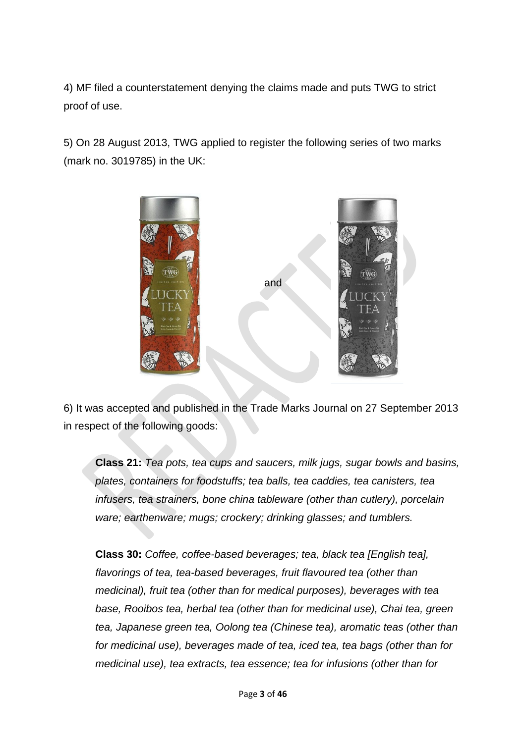4) MF filed a counterstatement denying the claims made and puts TWG to strict proof of use.

5) On 28 August 2013, TWG applied to register the following series of two marks (mark no. 3019785) in the UK:



6) It was accepted and published in the Trade Marks Journal on 27 September 2013 in respect of the following goods:

**Class 21:** *Tea pots, tea cups and saucers, milk jugs, sugar bowls and basins, plates, containers for foodstuffs; tea balls, tea caddies, tea canisters, tea infusers, tea strainers, bone china tableware (other than cutlery), porcelain ware; earthenware; mugs; crockery; drinking glasses; and tumblers.*

**Class 30:** *Coffee, coffee-based beverages; tea, black tea [English tea], flavorings of tea, tea-based beverages, fruit flavoured tea (other than medicinal), fruit tea (other than for medical purposes), beverages with tea base, Rooibos tea, herbal tea (other than for medicinal use), Chai tea, green tea, Japanese green tea, Oolong tea (Chinese tea), aromatic teas (other than for medicinal use), beverages made of tea, iced tea, tea bags (other than for medicinal use), tea extracts, tea essence; tea for infusions (other than for*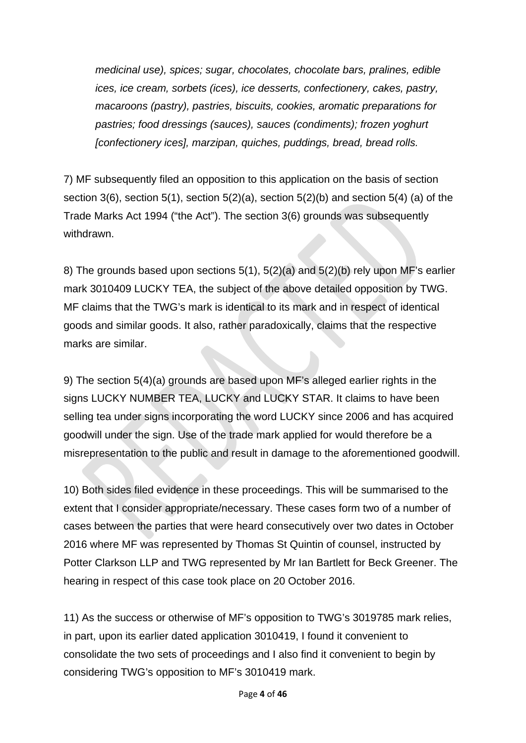*medicinal use), spices; sugar, chocolates, chocolate bars, pralines, edible ices, ice cream, sorbets (ices), ice desserts, confectionery, cakes, pastry, macaroons (pastry), pastries, biscuits, cookies, aromatic preparations for pastries; food dressings (sauces), sauces (condiments); frozen yoghurt [confectionery ices], marzipan, quiches, puddings, bread, bread rolls.*

7) MF subsequently filed an opposition to this application on the basis of section section  $3(6)$ , section  $5(1)$ , section  $5(2)(a)$ , section  $5(2)(b)$  and section  $5(4)$  (a) of the Trade Marks Act 1994 ("the Act"). The section 3(6) grounds was subsequently withdrawn.

8) The grounds based upon sections 5(1), 5(2)(a) and 5(2)(b) rely upon MF's earlier mark 3010409 LUCKY TEA, the subject of the above detailed opposition by TWG. MF claims that the TWG's mark is identical to its mark and in respect of identical goods and similar goods. It also, rather paradoxically, claims that the respective marks are similar.

9) The section 5(4)(a) grounds are based upon MF's alleged earlier rights in the signs LUCKY NUMBER TEA, LUCKY and LUCKY STAR. It claims to have been selling tea under signs incorporating the word LUCKY since 2006 and has acquired goodwill under the sign. Use of the trade mark applied for would therefore be a misrepresentation to the public and result in damage to the aforementioned goodwill.

10) Both sides filed evidence in these proceedings. This will be summarised to the extent that I consider appropriate/necessary. These cases form two of a number of cases between the parties that were heard consecutively over two dates in October 2016 where MF was represented by Thomas St Quintin of counsel, instructed by Potter Clarkson LLP and TWG represented by Mr Ian Bartlett for Beck Greener. The hearing in respect of this case took place on 20 October 2016.

11) As the success or otherwise of MF's opposition to TWG's 3019785 mark relies, in part, upon its earlier dated application 3010419, I found it convenient to consolidate the two sets of proceedings and I also find it convenient to begin by considering TWG's opposition to MF's 3010419 mark.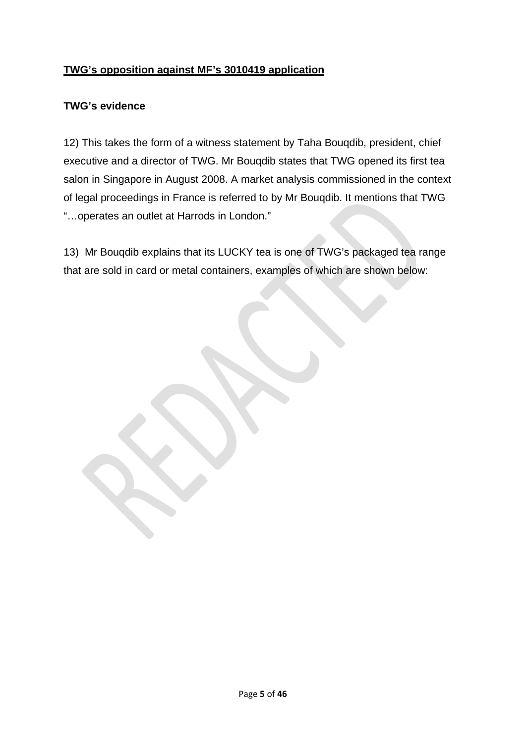## **TWG's opposition against MF's 3010419 application**

### **TWG's evidence**

12) This takes the form of a witness statement by Taha Bouqdib, president, chief executive and a director of TWG. Mr Bouqdib states that TWG opened its first tea salon in Singapore in August 2008. A market analysis commissioned in the context of legal proceedings in France is referred to by Mr Bouqdib. It mentions that TWG "…operates an outlet at Harrods in London."

13) Mr Bouqdib explains that its LUCKY tea is one of TWG's packaged tea range that are sold in card or metal containers, examples of which are shown below: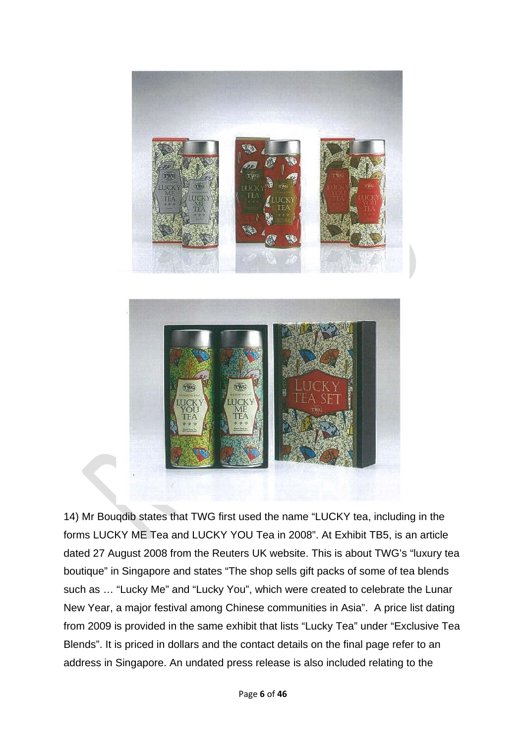



14) Mr Bouqdib states that TWG first used the name "LUCKY tea, including in the forms LUCKY ME Tea and LUCKY YOU Tea in 2008". At Exhibit TB5, is an article dated 27 August 2008 from the Reuters UK website. This is about TWG's "luxury tea boutique" in Singapore and states "The shop sells gift packs of some of tea blends such as … "Lucky Me" and "Lucky You", which were created to celebrate the Lunar New Year, a major festival among Chinese communities in Asia". A price list dating from 2009 is provided in the same exhibit that lists "Lucky Tea" under "Exclusive Tea Blends". It is priced in dollars and the contact details on the final page refer to an address in Singapore. An undated press release is also included relating to the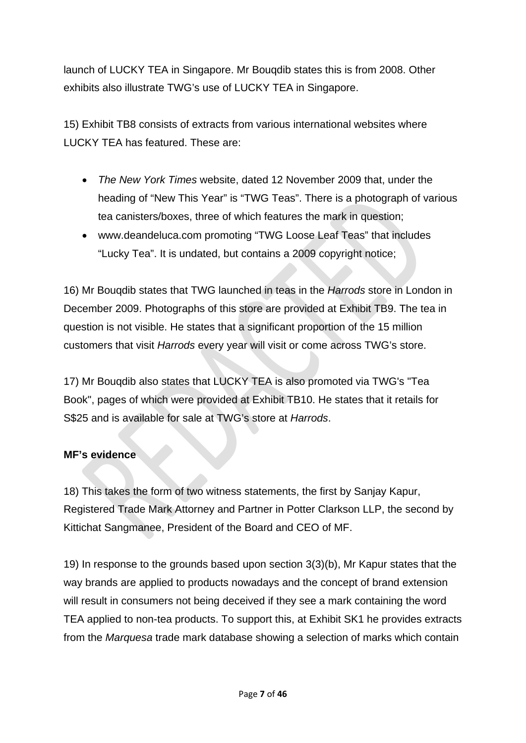launch of LUCKY TEA in Singapore. Mr Bouqdib states this is from 2008. Other exhibits also illustrate TWG's use of LUCKY TEA in Singapore.

15) Exhibit TB8 consists of extracts from various international websites where LUCKY TEA has featured. These are:

- *The New York Times* website, dated 12 November 2009 that, under the heading of "New This Year" is "TWG Teas". There is a photograph of various tea canisters/boxes, three of which features the mark in question;
- www.deandeluca.com promoting "TWG Loose Leaf Teas" that includes "Lucky Tea". It is undated, but contains a 2009 copyright notice;

16) Mr Bouqdib states that TWG launched in teas in the *Harrods* store in London in December 2009. Photographs of this store are provided at Exhibit TB9. The tea in question is not visible. He states that a significant proportion of the 15 million customers that visit *Harrods* every year will visit or come across TWG's store.

17) Mr Bouqdib also states that LUCKY TEA is also promoted via TWG's "Tea Book", pages of which were provided at Exhibit TB10. He states that it retails for S\$25 and is available for sale at TWG's store at *Harrods*.

### **MF's evidence**

18) This takes the form of two witness statements, the first by Sanjay Kapur, Registered Trade Mark Attorney and Partner in Potter Clarkson LLP, the second by Kittichat Sangmanee, President of the Board and CEO of MF.

19) In response to the grounds based upon section 3(3)(b), Mr Kapur states that the way brands are applied to products nowadays and the concept of brand extension will result in consumers not being deceived if they see a mark containing the word TEA applied to non-tea products. To support this, at Exhibit SK1 he provides extracts from the *Marquesa* trade mark database showing a selection of marks which contain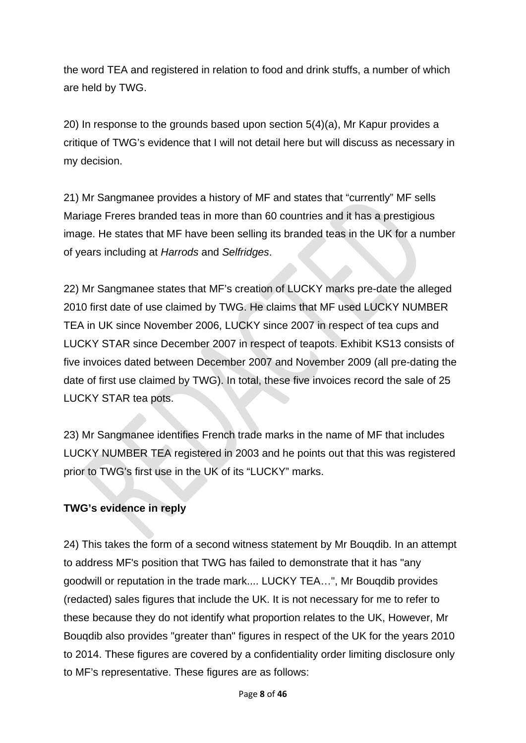the word TEA and registered in relation to food and drink stuffs, a number of which are held by TWG.

20) In response to the grounds based upon section 5(4)(a), Mr Kapur provides a critique of TWG's evidence that I will not detail here but will discuss as necessary in my decision.

21) Mr Sangmanee provides a history of MF and states that "currently" MF sells Mariage Freres branded teas in more than 60 countries and it has a prestigious image. He states that MF have been selling its branded teas in the UK for a number of years including at *Harrods* and *Selfridges*.

22) Mr Sangmanee states that MF's creation of LUCKY marks pre-date the alleged 2010 first date of use claimed by TWG. He claims that MF used LUCKY NUMBER TEA in UK since November 2006, LUCKY since 2007 in respect of tea cups and LUCKY STAR since December 2007 in respect of teapots. Exhibit KS13 consists of five invoices dated between December 2007 and November 2009 (all pre-dating the date of first use claimed by TWG). In total, these five invoices record the sale of 25 LUCKY STAR tea pots.

23) Mr Sangmanee identifies French trade marks in the name of MF that includes LUCKY NUMBER TEA registered in 2003 and he points out that this was registered prior to TWG's first use in the UK of its "LUCKY" marks.

## **TWG's evidence in reply**

24) This takes the form of a second witness statement by Mr Bouqdib. In an attempt to address MF's position that TWG has failed to demonstrate that it has "any goodwill or reputation in the trade mark.... LUCKY TEA…", Mr Bouqdib provides (redacted) sales figures that include the UK. It is not necessary for me to refer to these because they do not identify what proportion relates to the UK, However, Mr Bouqdib also provides "greater than" figures in respect of the UK for the years 2010 to 2014. These figures are covered by a confidentiality order limiting disclosure only to MF's representative. These figures are as follows: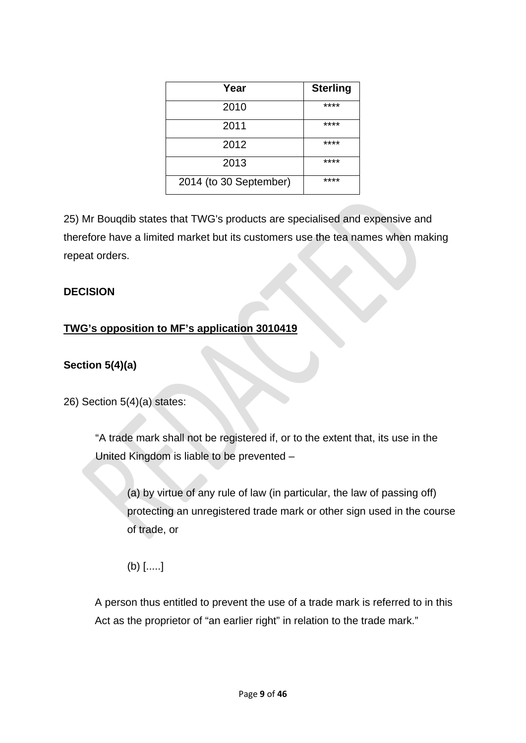| Year                   | <b>Sterling</b> |
|------------------------|-----------------|
| 2010                   | ****            |
| 2011                   | ****            |
| 2012                   | ****            |
| 2013                   | ****            |
| 2014 (to 30 September) | ****            |

25) Mr Bouqdib states that TWG's products are specialised and expensive and therefore have a limited market but its customers use the tea names when making repeat orders.

### **DECISION**

## **TWG's opposition to MF's application 3010419**

## **Section 5(4)(a)**

26) Section 5(4)(a) states:

"A trade mark shall not be registered if, or to the extent that, its use in the United Kingdom is liable to be prevented –

(a) by virtue of any rule of law (in particular, the law of passing off) protecting an unregistered trade mark or other sign used in the course of trade, or

(b) [.....]

A person thus entitled to prevent the use of a trade mark is referred to in this Act as the proprietor of "an earlier right" in relation to the trade mark."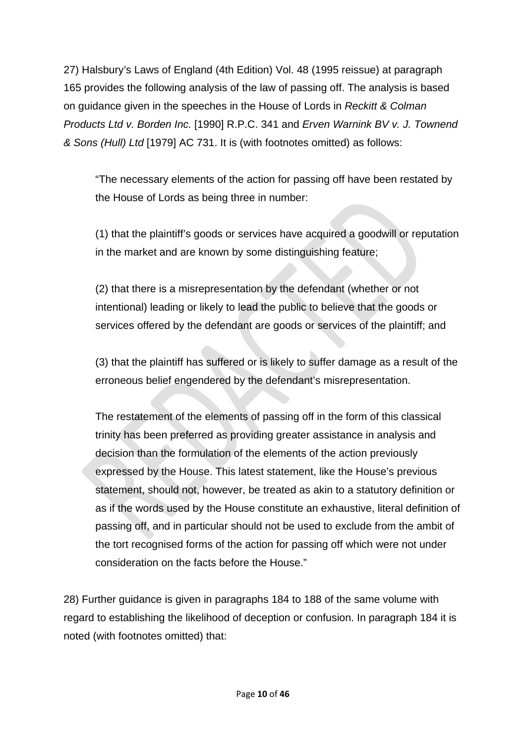27) Halsbury's Laws of England (4th Edition) Vol. 48 (1995 reissue) at paragraph 165 provides the following analysis of the law of passing off. The analysis is based on guidance given in the speeches in the House of Lords in *Reckitt & Colman Products Ltd v. Borden Inc.* [1990] R.P.C. 341 and *Erven Warnink BV v. J. Townend & Sons (Hull) Ltd* [1979] AC 731. It is (with footnotes omitted) as follows:

"The necessary elements of the action for passing off have been restated by the House of Lords as being three in number:

(1) that the plaintiff's goods or services have acquired a goodwill or reputation in the market and are known by some distinguishing feature;

(2) that there is a misrepresentation by the defendant (whether or not intentional) leading or likely to lead the public to believe that the goods or services offered by the defendant are goods or services of the plaintiff; and

(3) that the plaintiff has suffered or is likely to suffer damage as a result of the erroneous belief engendered by the defendant's misrepresentation.

The restatement of the elements of passing off in the form of this classical trinity has been preferred as providing greater assistance in analysis and decision than the formulation of the elements of the action previously expressed by the House. This latest statement, like the House's previous statement, should not, however, be treated as akin to a statutory definition or as if the words used by the House constitute an exhaustive, literal definition of passing off, and in particular should not be used to exclude from the ambit of the tort recognised forms of the action for passing off which were not under consideration on the facts before the House."

28) Further guidance is given in paragraphs 184 to 188 of the same volume with regard to establishing the likelihood of deception or confusion. In paragraph 184 it is noted (with footnotes omitted) that: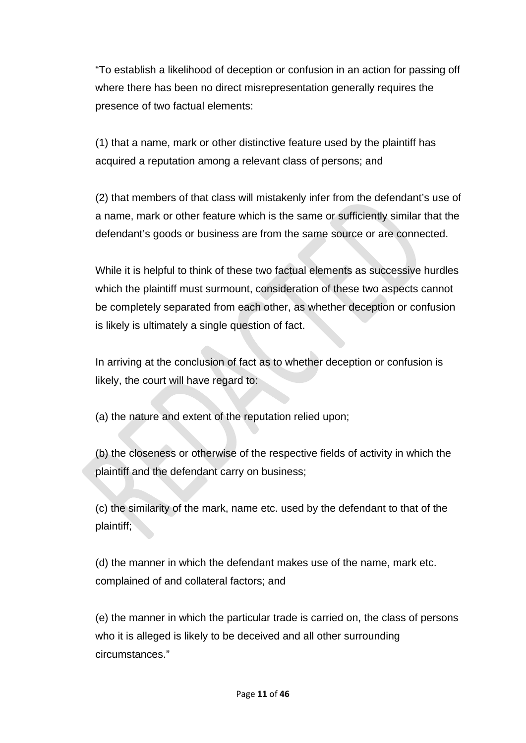"To establish a likelihood of deception or confusion in an action for passing off where there has been no direct misrepresentation generally requires the presence of two factual elements:

(1) that a name, mark or other distinctive feature used by the plaintiff has acquired a reputation among a relevant class of persons; and

(2) that members of that class will mistakenly infer from the defendant's use of a name, mark or other feature which is the same or sufficiently similar that the defendant's goods or business are from the same source or are connected.

While it is helpful to think of these two factual elements as successive hurdles which the plaintiff must surmount, consideration of these two aspects cannot be completely separated from each other, as whether deception or confusion is likely is ultimately a single question of fact.

In arriving at the conclusion of fact as to whether deception or confusion is likely, the court will have regard to:

(a) the nature and extent of the reputation relied upon;

(b) the closeness or otherwise of the respective fields of activity in which the plaintiff and the defendant carry on business;

(c) the similarity of the mark, name etc. used by the defendant to that of the plaintiff;

(d) the manner in which the defendant makes use of the name, mark etc. complained of and collateral factors; and

(e) the manner in which the particular trade is carried on, the class of persons who it is alleged is likely to be deceived and all other surrounding circumstances."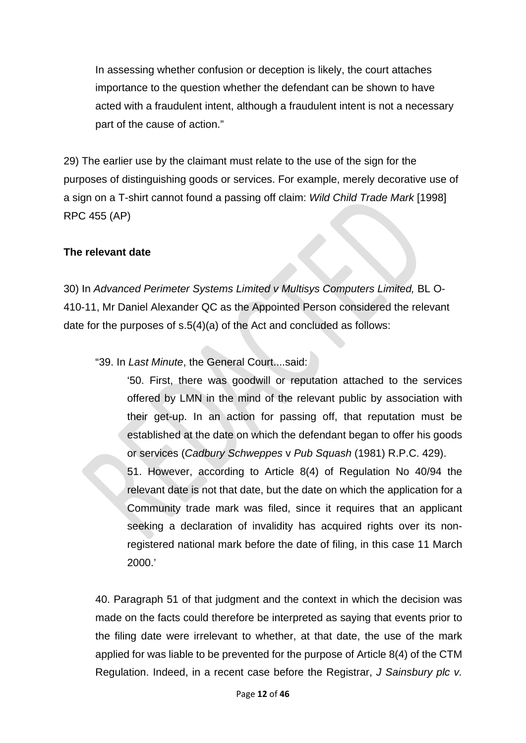In assessing whether confusion or deception is likely, the court attaches importance to the question whether the defendant can be shown to have acted with a fraudulent intent, although a fraudulent intent is not a necessary part of the cause of action."

29) The earlier use by the claimant must relate to the use of the sign for the purposes of distinguishing goods or services. For example, merely decorative use of a sign on a T-shirt cannot found a passing off claim: *Wild Child Trade Mark* [1998] RPC 455 (AP)

### **The relevant date**

30) In *Advanced Perimeter Systems Limited v Multisys Computers Limited,* BL O-410-11, Mr Daniel Alexander QC as the Appointed Person considered the relevant date for the purposes of s.5(4)(a) of the Act and concluded as follows:

"39. In *Last Minute*, the General Court....said:

'50. First, there was goodwill or reputation attached to the services offered by LMN in the mind of the relevant public by association with their get-up. In an action for passing off, that reputation must be established at the date on which the defendant began to offer his goods or services (*Cadbury Schweppes* v *Pub Squash* (1981) R.P.C. 429).

51. However, according to Article 8(4) of Regulation No 40/94 the relevant date is not that date, but the date on which the application for a Community trade mark was filed, since it requires that an applicant seeking a declaration of invalidity has acquired rights over its nonregistered national mark before the date of filing, in this case 11 March 2000.'

40. Paragraph 51 of that judgment and the context in which the decision was made on the facts could therefore be interpreted as saying that events prior to the filing date were irrelevant to whether, at that date, the use of the mark applied for was liable to be prevented for the purpose of Article 8(4) of the CTM Regulation. Indeed, in a recent case before the Registrar, *J Sainsbury plc v.*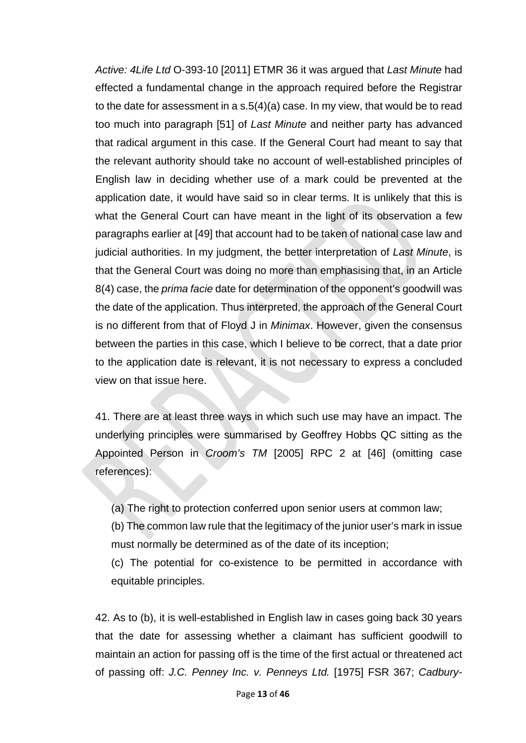*Active: 4Life Ltd* O-393-10 [2011] ETMR 36 it was argued that *Last Minute* had effected a fundamental change in the approach required before the Registrar to the date for assessment in a s.5(4)(a) case. In my view, that would be to read too much into paragraph [51] of *Last Minute* and neither party has advanced that radical argument in this case. If the General Court had meant to say that the relevant authority should take no account of well-established principles of English law in deciding whether use of a mark could be prevented at the application date, it would have said so in clear terms. It is unlikely that this is what the General Court can have meant in the light of its observation a few paragraphs earlier at [49] that account had to be taken of national case law and judicial authorities. In my judgment, the better interpretation of *Last Minute*, is that the General Court was doing no more than emphasising that, in an Article 8(4) case, the *prima facie* date for determination of the opponent's goodwill was the date of the application. Thus interpreted, the approach of the General Court is no different from that of Floyd J in *Minimax*. However, given the consensus between the parties in this case, which I believe to be correct, that a date prior to the application date is relevant, it is not necessary to express a concluded view on that issue here.

41. There are at least three ways in which such use may have an impact. The underlying principles were summarised by Geoffrey Hobbs QC sitting as the Appointed Person in *Croom's TM* [2005] RPC 2 at [46] (omitting case references):

(a) The right to protection conferred upon senior users at common law;

(b) The common law rule that the legitimacy of the junior user's mark in issue must normally be determined as of the date of its inception;

(c) The potential for co-existence to be permitted in accordance with equitable principles.

42. As to (b), it is well-established in English law in cases going back 30 years that the date for assessing whether a claimant has sufficient goodwill to maintain an action for passing off is the time of the first actual or threatened act of passing off: *J.C. Penney Inc. v. Penneys Ltd.* [1975] FSR 367; *Cadbury-*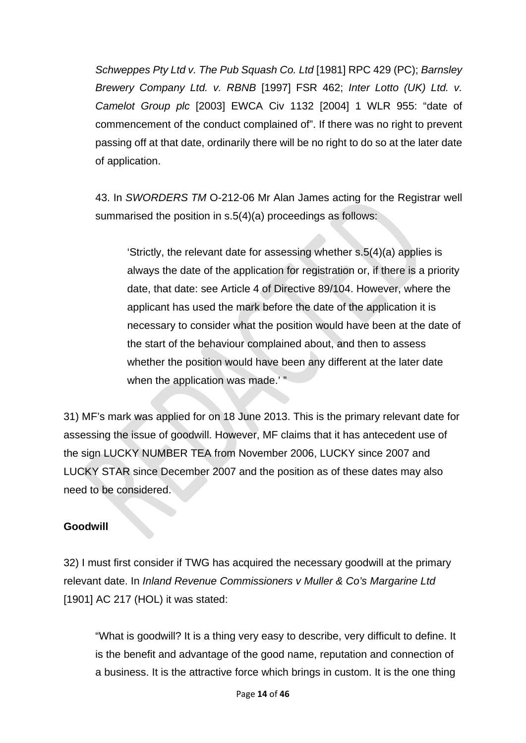*Schweppes Pty Ltd v. The Pub Squash Co. Ltd* [1981] RPC 429 (PC); *Barnsley Brewery Company Ltd. v. RBNB* [1997] FSR 462; *Inter Lotto (UK) Ltd. v. Camelot Group plc* [2003] EWCA Civ 1132 [2004] 1 WLR 955: "date of commencement of the conduct complained of". If there was no right to prevent passing off at that date, ordinarily there will be no right to do so at the later date of application.

43. In *SWORDERS TM* O-212-06 Mr Alan James acting for the Registrar well summarised the position in s.5(4)(a) proceedings as follows:

'Strictly, the relevant date for assessing whether s.5(4)(a) applies is always the date of the application for registration or, if there is a priority date, that date: see Article 4 of Directive 89/104. However, where the applicant has used the mark before the date of the application it is necessary to consider what the position would have been at the date of the start of the behaviour complained about, and then to assess whether the position would have been any different at the later date when the application was made.'"

31) MF's mark was applied for on 18 June 2013. This is the primary relevant date for assessing the issue of goodwill. However, MF claims that it has antecedent use of the sign LUCKY NUMBER TEA from November 2006, LUCKY since 2007 and LUCKY STAR since December 2007 and the position as of these dates may also need to be considered.

### **Goodwill**

32) I must first consider if TWG has acquired the necessary goodwill at the primary relevant date. In *Inland Revenue Commissioners v Muller & Co's Margarine Ltd* [1901] AC 217 (HOL) it was stated:

"What is goodwill? It is a thing very easy to describe, very difficult to define. It is the benefit and advantage of the good name, reputation and connection of a business. It is the attractive force which brings in custom. It is the one thing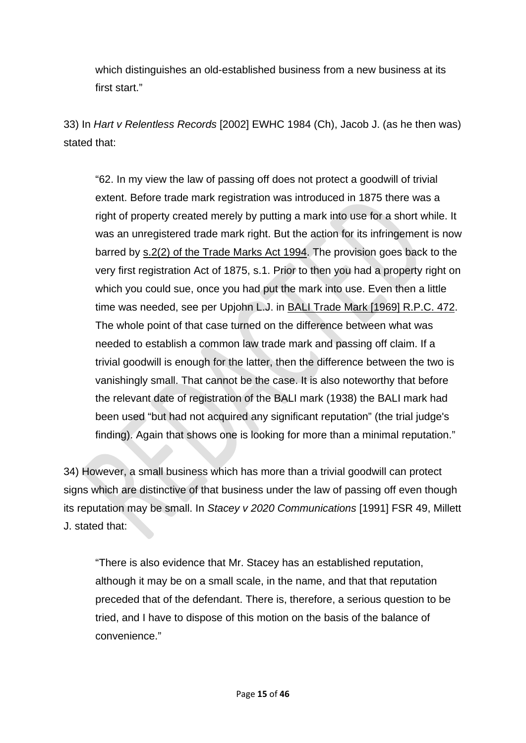which distinguishes an old-established business from a new business at its first start."

33) In *Hart v Relentless Records* [2002] EWHC 1984 (Ch), Jacob J. (as he then was) stated that:

"62. In my view the law of passing off does not protect a goodwill of trivial extent. Before trade mark registration was introduced in 1875 there was a right of property created merely by putting a mark into use for a short while. It was an unregistered trade mark right. But the action for its infringement is now barred by [s.2\(2\) of the Trade Marks Act 1994.](http://login.westlaw.co.uk/maf/wluk/app/document?src=doc&linktype=ref&&context=33&crumb-action=replace&docguid=ID5E5E8C0E44D11DA8D70A0E70A78ED65) The provision goes back to the very first registration Act of 1875, s.1. Prior to then you had a property right on which you could sue, once you had put the mark into use. Even then a little time was needed, see per Upjohn L.J. in [BALI Trade Mark \[1969\] R.P.C. 472.](http://login.westlaw.co.uk/maf/wluk/app/document?src=doc&linktype=ref&&context=33&crumb-action=replace&docguid=I73EEFAB0E42711DA8FC2A0F0355337E9) The whole point of that case turned on the difference between what was needed to establish a common law trade mark and passing off claim. If a trivial goodwill is enough for the latter, then the difference between the two is vanishingly small. That cannot be the case. It is also noteworthy that before the relevant date of registration of the BALI mark (1938) the BALI mark had been used "but had not acquired any significant reputation" (the trial judge's finding). Again that shows one is looking for more than a minimal reputation."

34) However, a small business which has more than a trivial goodwill can protect signs which are distinctive of that business under the law of passing off even though its reputation may be small. In *Stacey v 2020 Communications* [1991] FSR 49, Millett J. stated that:

"There is also evidence that Mr. Stacey has an established reputation, although it may be on a small scale, in the name, and that that reputation preceded that of the defendant. There is, therefore, a serious question to be tried, and I have to dispose of this motion on the basis of the balance of convenience."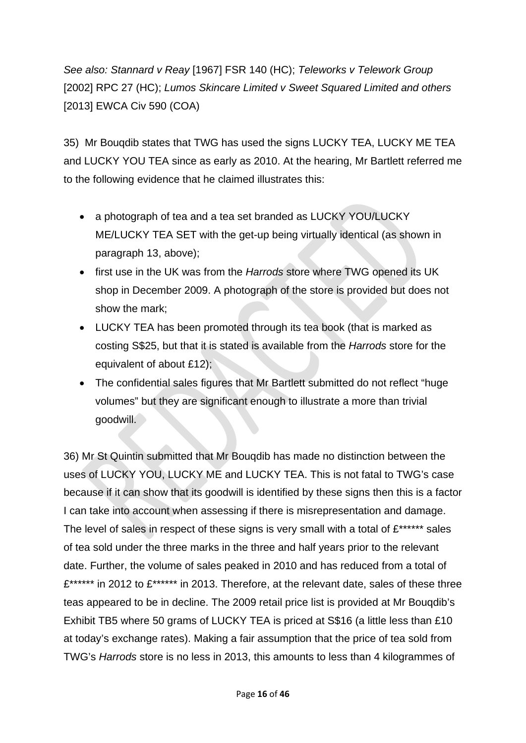*See also: Stannard v Reay* [1967] FSR 140 (HC); *Teleworks v Telework Group* [2002] RPC 27 (HC); *Lumos Skincare Limited v Sweet Squared Limited and others* [2013] EWCA Civ 590 (COA)

35) Mr Bouqdib states that TWG has used the signs LUCKY TEA, LUCKY ME TEA and LUCKY YOU TEA since as early as 2010. At the hearing, Mr Bartlett referred me to the following evidence that he claimed illustrates this:

- a photograph of tea and a tea set branded as LUCKY YOU/LUCKY ME/LUCKY TEA SET with the get-up being virtually identical (as shown in paragraph 13, above);
- first use in the UK was from the *Harrods* store where TWG opened its UK shop in December 2009. A photograph of the store is provided but does not show the mark;
- LUCKY TEA has been promoted through its tea book (that is marked as costing S\$25, but that it is stated is available from the *Harrods* store for the equivalent of about £12);
- The confidential sales figures that Mr Bartlett submitted do not reflect "huge volumes" but they are significant enough to illustrate a more than trivial goodwill.

36) Mr St Quintin submitted that Mr Bouqdib has made no distinction between the uses of LUCKY YOU, LUCKY ME and LUCKY TEA. This is not fatal to TWG's case because if it can show that its goodwill is identified by these signs then this is a factor I can take into account when assessing if there is misrepresentation and damage. The level of sales in respect of these signs is very small with a total of  $E^{****}$  sales of tea sold under the three marks in the three and half years prior to the relevant date. Further, the volume of sales peaked in 2010 and has reduced from a total of £\*\*\*\*\*\*\* in 2012 to £\*\*\*\*\*\*\* in 2013. Therefore, at the relevant date, sales of these three teas appeared to be in decline. The 2009 retail price list is provided at Mr Bouqdib's Exhibit TB5 where 50 grams of LUCKY TEA is priced at S\$16 (a little less than £10 at today's exchange rates). Making a fair assumption that the price of tea sold from TWG's *Harrods* store is no less in 2013, this amounts to less than 4 kilogrammes of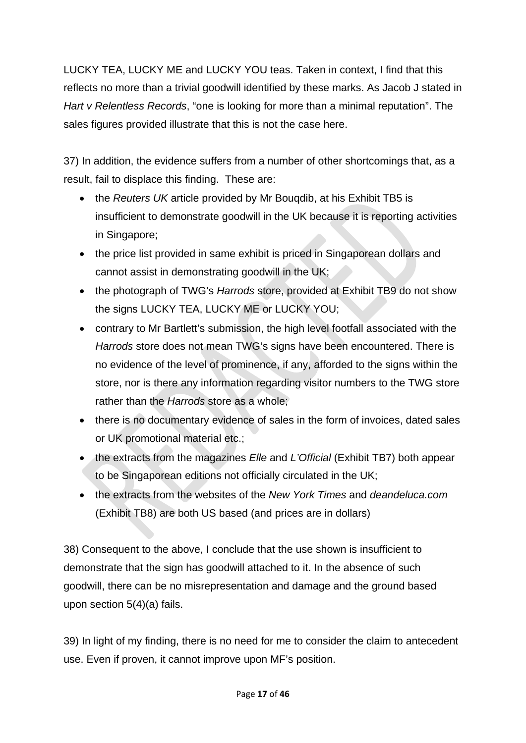LUCKY TEA, LUCKY ME and LUCKY YOU teas. Taken in context, I find that this reflects no more than a trivial goodwill identified by these marks. As Jacob J stated in *Hart v Relentless Records*, "one is looking for more than a minimal reputation". The sales figures provided illustrate that this is not the case here.

37) In addition, the evidence suffers from a number of other shortcomings that, as a result, fail to displace this finding. These are:

- the *Reuters UK* article provided by Mr Bouqdib, at his Exhibit TB5 is insufficient to demonstrate goodwill in the UK because it is reporting activities in Singapore;
- the price list provided in same exhibit is priced in Singaporean dollars and cannot assist in demonstrating goodwill in the UK;
- the photograph of TWG's *Harrods* store, provided at Exhibit TB9 do not show the signs LUCKY TEA, LUCKY ME or LUCKY YOU;
- contrary to Mr Bartlett's submission, the high level footfall associated with the *Harrods* store does not mean TWG's signs have been encountered. There is no evidence of the level of prominence, if any, afforded to the signs within the store, nor is there any information regarding visitor numbers to the TWG store rather than the *Harrods* store as a whole;
- there is no documentary evidence of sales in the form of invoices, dated sales or UK promotional material etc.;
- the extracts from the magazines *Elle* and *L'Official* (Exhibit TB7) both appear to be Singaporean editions not officially circulated in the UK;
- the extracts from the websites of the *New York Times* and *deandeluca.com* (Exhibit TB8) are both US based (and prices are in dollars)

38) Consequent to the above, I conclude that the use shown is insufficient to demonstrate that the sign has goodwill attached to it. In the absence of such goodwill, there can be no misrepresentation and damage and the ground based upon section 5(4)(a) fails.

39) In light of my finding, there is no need for me to consider the claim to antecedent use. Even if proven, it cannot improve upon MF's position.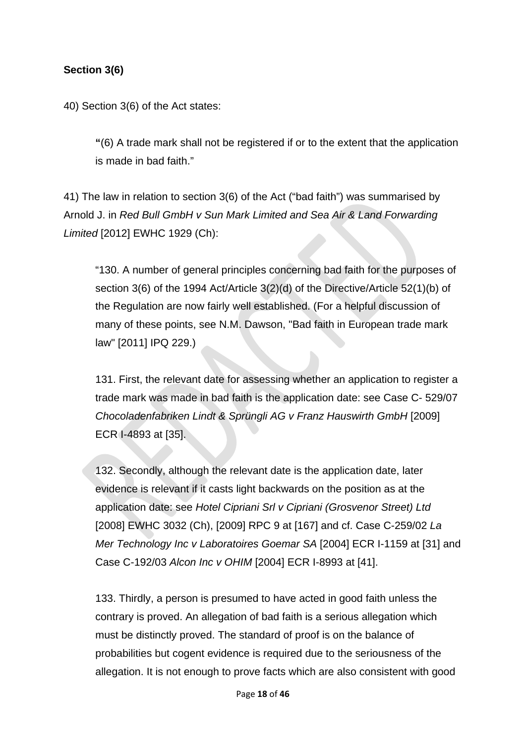## **Section 3(6)**

40) Section 3(6) of the Act states:

**"**(6) A trade mark shall not be registered if or to the extent that the application is made in bad faith."

41) The law in relation to section 3(6) of the Act ("bad faith") was summarised by Arnold J. in *Red Bull GmbH v Sun Mark Limited and Sea Air & Land Forwarding Limited* [2012] EWHC 1929 (Ch):

"130. A number of general principles concerning bad faith for the purposes of section 3(6) of the 1994 Act/Article 3(2)(d) of the Directive/Article 52(1)(b) of the Regulation are now fairly well established. (For a helpful discussion of many of these points, see N.M. Dawson, "Bad faith in European trade mark law" [2011] IPQ 229.)

131. First, the relevant date for assessing whether an application to register a trade mark was made in bad faith is the application date: see Case C- 529/07 *Chocoladenfabriken Lindt & Sprüngli AG v Franz Hauswirth GmbH* [2009] ECR I-4893 at [35].

132. Secondly, although the relevant date is the application date, later evidence is relevant if it casts light backwards on the position as at the application date: see *Hotel Cipriani Srl v Cipriani (Grosvenor Street) Ltd*  [2008] EWHC 3032 (Ch), [2009] RPC 9 at [167] and cf. Case C-259/02 *La Mer Technology Inc v Laboratoires Goemar SA* [2004] ECR I-1159 at [31] and Case C-192/03 *Alcon Inc v OHIM* [2004] ECR I-8993 at [41].

133. Thirdly, a person is presumed to have acted in good faith unless the contrary is proved. An allegation of bad faith is a serious allegation which must be distinctly proved. The standard of proof is on the balance of probabilities but cogent evidence is required due to the seriousness of the allegation. It is not enough to prove facts which are also consistent with good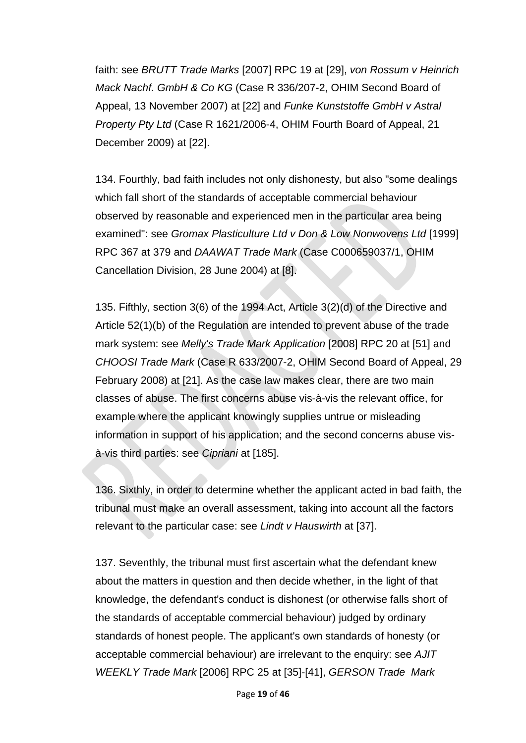faith: see *BRUTT Trade Marks* [2007] RPC 19 at [29], *von Rossum v Heinrich Mack Nachf. GmbH & Co KG* (Case R 336/207-2, OHIM Second Board of Appeal, 13 November 2007) at [22] and *Funke Kunststoffe GmbH v Astral Property Pty Ltd* (Case R 1621/2006-4, OHIM Fourth Board of Appeal, 21 December 2009) at [22].

134. Fourthly, bad faith includes not only dishonesty, but also "some dealings which fall short of the standards of acceptable commercial behaviour observed by reasonable and experienced men in the particular area being examined": see *Gromax Plasticulture Ltd v Don & Low Nonwovens Ltd* [1999] RPC 367 at 379 and *DAAWAT Trade Mark* (Case C000659037/1, OHIM Cancellation Division, 28 June 2004) at [8].

135. Fifthly, section 3(6) of the 1994 Act, Article 3(2)(d) of the Directive and Article 52(1)(b) of the Regulation are intended to prevent abuse of the trade mark system: see *Melly's Trade Mark Application* [2008] RPC 20 at [51] and *CHOOSI Trade Mark* (Case R 633/2007-2, OHIM Second Board of Appeal, 29 February 2008) at [21]. As the case law makes clear, there are two main classes of abuse. The first concerns abuse vis-à-vis the relevant office, for example where the applicant knowingly supplies untrue or misleading information in support of his application; and the second concerns abuse visà-vis third parties: see *Cipriani* at [185].

136. Sixthly, in order to determine whether the applicant acted in bad faith, the tribunal must make an overall assessment, taking into account all the factors relevant to the particular case: see *Lindt v Hauswirth* at [37].

137. Seventhly, the tribunal must first ascertain what the defendant knew about the matters in question and then decide whether, in the light of that knowledge, the defendant's conduct is dishonest (or otherwise falls short of the standards of acceptable commercial behaviour) judged by ordinary standards of honest people. The applicant's own standards of honesty (or acceptable commercial behaviour) are irrelevant to the enquiry: see *AJIT WEEKLY Trade Mark* [2006] RPC 25 at [35]-[41], *GERSON Trade Mark*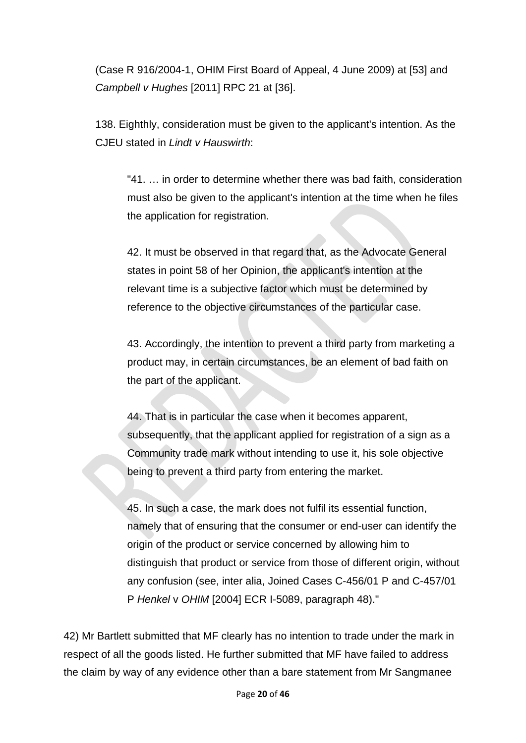(Case R 916/2004-1, OHIM First Board of Appeal, 4 June 2009) at [53] and *Campbell v Hughes* [2011] RPC 21 at [36].

138. Eighthly, consideration must be given to the applicant's intention. As the CJEU stated in *Lindt v Hauswirth*:

"41. … in order to determine whether there was bad faith, consideration must also be given to the applicant's intention at the time when he files the application for registration.

42. It must be observed in that regard that, as the Advocate General states in point 58 of her Opinion, the applicant's intention at the relevant time is a subjective factor which must be determined by reference to the objective circumstances of the particular case.

43. Accordingly, the intention to prevent a third party from marketing a product may, in certain circumstances, be an element of bad faith on the part of the applicant.

44. That is in particular the case when it becomes apparent, subsequently, that the applicant applied for registration of a sign as a Community trade mark without intending to use it, his sole objective being to prevent a third party from entering the market.

45. In such a case, the mark does not fulfil its essential function, namely that of ensuring that the consumer or end-user can identify the origin of the product or service concerned by allowing him to distinguish that product or service from those of different origin, without any confusion (see, inter alia, Joined Cases C-456/01 P and C-457/01 P *Henkel* v *OHIM* [2004] ECR I-5089, paragraph 48)."

42) Mr Bartlett submitted that MF clearly has no intention to trade under the mark in respect of all the goods listed. He further submitted that MF have failed to address the claim by way of any evidence other than a bare statement from Mr Sangmanee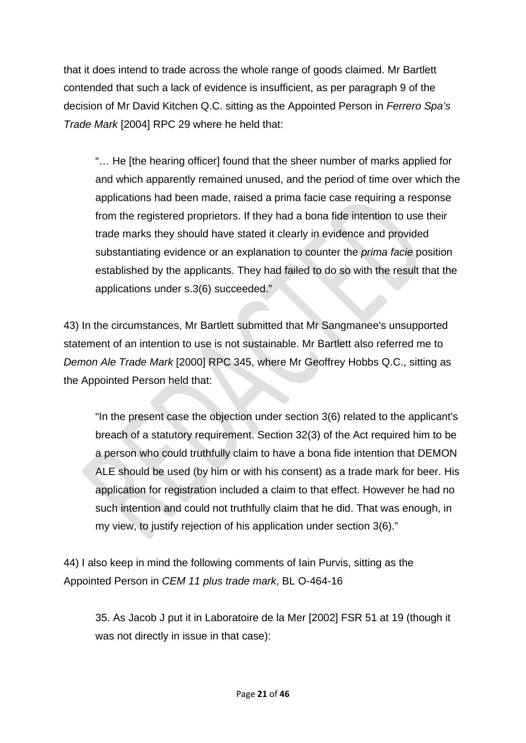that it does intend to trade across the whole range of goods claimed. Mr Bartlett contended that such a lack of evidence is insufficient, as per paragraph 9 of the decision of Mr David Kitchen Q.C. sitting as the Appointed Person in *Ferrero Spa's Trade Mark* [2004] RPC 29 where he held that:

"… He [the hearing officer] found that the sheer number of marks applied for and which apparently remained unused, and the period of time over which the applications had been made, raised a prima facie case requiring a response from the registered proprietors. If they had a bona fide intention to use their trade marks they should have stated it clearly in evidence and provided substantiating evidence or an explanation to counter the *prima facie* position established by the applicants. They had failed to do so with the result that the applications under s.3(6) succeeded."

43) In the circumstances, Mr Bartlett submitted that Mr Sangmanee's unsupported statement of an intention to use is not sustainable. Mr Bartlett also referred me to *Demon Ale Trade Mark* [2000] RPC 345, where Mr Geoffrey Hobbs Q.C., sitting as the Appointed Person held that:

"In the present case the objection under section 3(6) related to the applicant's breach of a statutory requirement. Section 32(3) of the Act required him to be a person who could truthfully claim to have a bona fide intention that DEMON ALE should be used (by him or with his consent) as a trade mark for beer. His application for registration included a claim to that effect. However he had no such intention and could not truthfully claim that he did. That was enough, in my view, to justify rejection of his application under section 3(6)."

44) I also keep in mind the following comments of Iain Purvis, sitting as the Appointed Person in *CEM 11 plus trade mark*, BL O-464-16

35. As Jacob J put it in Laboratoire de la Mer [2002] FSR 51 at 19 (though it was not directly in issue in that case):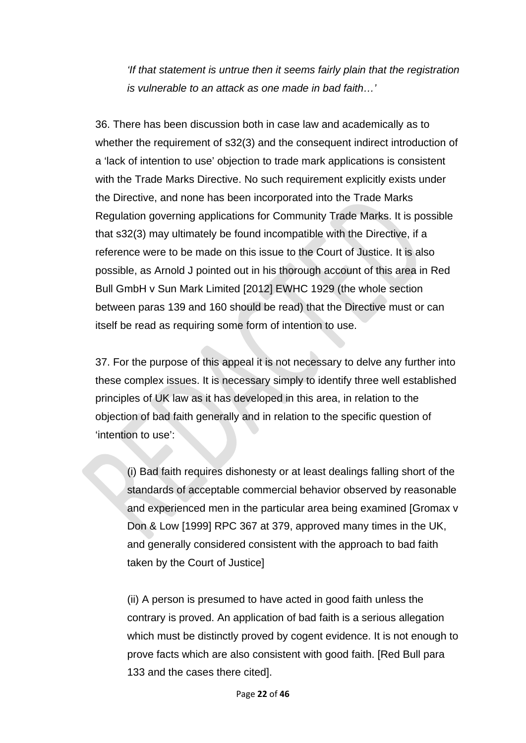*'If that statement is untrue then it seems fairly plain that the registration is vulnerable to an attack as one made in bad faith…'*

36. There has been discussion both in case law and academically as to whether the requirement of s32(3) and the consequent indirect introduction of a 'lack of intention to use' objection to trade mark applications is consistent with the Trade Marks Directive. No such requirement explicitly exists under the Directive, and none has been incorporated into the Trade Marks Regulation governing applications for Community Trade Marks. It is possible that s32(3) may ultimately be found incompatible with the Directive, if a reference were to be made on this issue to the Court of Justice. It is also possible, as Arnold J pointed out in his thorough account of this area in Red Bull GmbH v Sun Mark Limited [2012] EWHC 1929 (the whole section between paras 139 and 160 should be read) that the Directive must or can itself be read as requiring some form of intention to use.

37. For the purpose of this appeal it is not necessary to delve any further into these complex issues. It is necessary simply to identify three well established principles of UK law as it has developed in this area, in relation to the objection of bad faith generally and in relation to the specific question of 'intention to use':

(i) Bad faith requires dishonesty or at least dealings falling short of the standards of acceptable commercial behavior observed by reasonable and experienced men in the particular area being examined [Gromax v Don & Low [1999] RPC 367 at 379, approved many times in the UK, and generally considered consistent with the approach to bad faith taken by the Court of Justice]

(ii) A person is presumed to have acted in good faith unless the contrary is proved. An application of bad faith is a serious allegation which must be distinctly proved by cogent evidence. It is not enough to prove facts which are also consistent with good faith. [Red Bull para 133 and the cases there cited].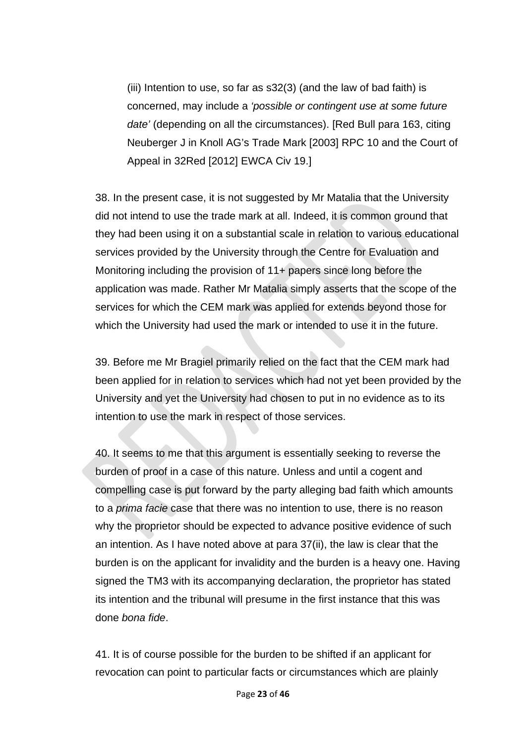(iii) Intention to use, so far as s32(3) (and the law of bad faith) is concerned, may include a *'possible or contingent use at some future date'* (depending on all the circumstances). [Red Bull para 163, citing Neuberger J in Knoll AG's Trade Mark [2003] RPC 10 and the Court of Appeal in 32Red [2012] EWCA Civ 19.]

38. In the present case, it is not suggested by Mr Matalia that the University did not intend to use the trade mark at all. Indeed, it is common ground that they had been using it on a substantial scale in relation to various educational services provided by the University through the Centre for Evaluation and Monitoring including the provision of 11+ papers since long before the application was made. Rather Mr Matalia simply asserts that the scope of the services for which the CEM mark was applied for extends beyond those for which the University had used the mark or intended to use it in the future.

39. Before me Mr Bragiel primarily relied on the fact that the CEM mark had been applied for in relation to services which had not yet been provided by the University and yet the University had chosen to put in no evidence as to its intention to use the mark in respect of those services.

40. It seems to me that this argument is essentially seeking to reverse the burden of proof in a case of this nature. Unless and until a cogent and compelling case is put forward by the party alleging bad faith which amounts to a *prima facie* case that there was no intention to use, there is no reason why the proprietor should be expected to advance positive evidence of such an intention. As I have noted above at para 37(ii), the law is clear that the burden is on the applicant for invalidity and the burden is a heavy one. Having signed the TM3 with its accompanying declaration, the proprietor has stated its intention and the tribunal will presume in the first instance that this was done *bona fide*.

41. It is of course possible for the burden to be shifted if an applicant for revocation can point to particular facts or circumstances which are plainly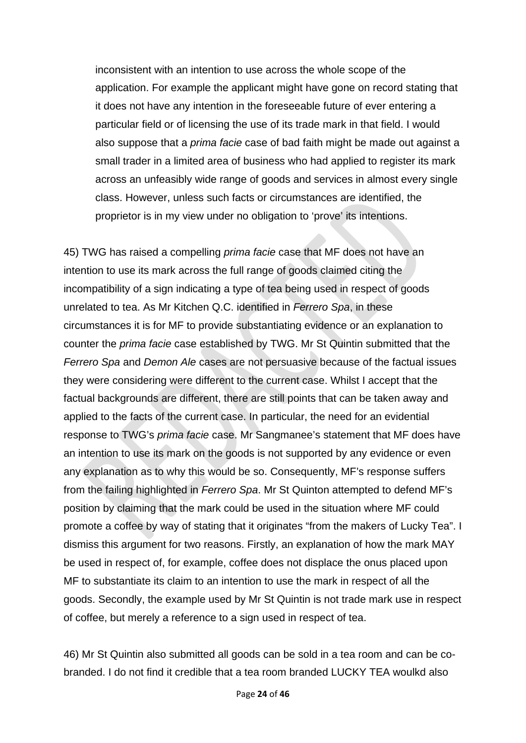inconsistent with an intention to use across the whole scope of the application. For example the applicant might have gone on record stating that it does not have any intention in the foreseeable future of ever entering a particular field or of licensing the use of its trade mark in that field. I would also suppose that a *prima facie* case of bad faith might be made out against a small trader in a limited area of business who had applied to register its mark across an unfeasibly wide range of goods and services in almost every single class. However, unless such facts or circumstances are identified, the proprietor is in my view under no obligation to 'prove' its intentions.

45) TWG has raised a compelling *prima facie* case that MF does not have an intention to use its mark across the full range of goods claimed citing the incompatibility of a sign indicating a type of tea being used in respect of goods unrelated to tea. As Mr Kitchen Q.C. identified in *Ferrero Spa*, in these circumstances it is for MF to provide substantiating evidence or an explanation to counter the *prima facie* case established by TWG. Mr St Quintin submitted that the *Ferrero Spa* and *Demon Ale* cases are not persuasive because of the factual issues they were considering were different to the current case. Whilst I accept that the factual backgrounds are different, there are still points that can be taken away and applied to the facts of the current case. In particular, the need for an evidential response to TWG's *prima facie* case. Mr Sangmanee's statement that MF does have an intention to use its mark on the goods is not supported by any evidence or even any explanation as to why this would be so. Consequently, MF's response suffers from the failing highlighted in *Ferrero Spa*. Mr St Quinton attempted to defend MF's position by claiming that the mark could be used in the situation where MF could promote a coffee by way of stating that it originates "from the makers of Lucky Tea". I dismiss this argument for two reasons. Firstly, an explanation of how the mark MAY be used in respect of, for example, coffee does not displace the onus placed upon MF to substantiate its claim to an intention to use the mark in respect of all the goods. Secondly, the example used by Mr St Quintin is not trade mark use in respect of coffee, but merely a reference to a sign used in respect of tea.

46) Mr St Quintin also submitted all goods can be sold in a tea room and can be cobranded. I do not find it credible that a tea room branded LUCKY TEA woulkd also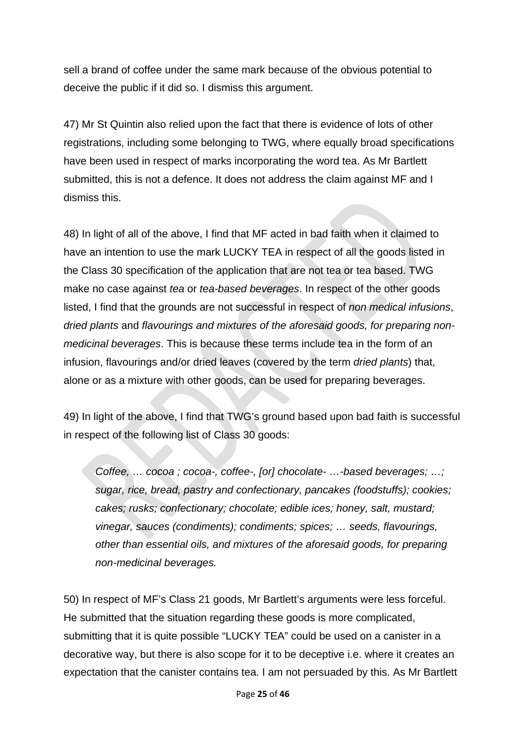sell a brand of coffee under the same mark because of the obvious potential to deceive the public if it did so. I dismiss this argument.

47) Mr St Quintin also relied upon the fact that there is evidence of lots of other registrations, including some belonging to TWG, where equally broad specifications have been used in respect of marks incorporating the word tea. As Mr Bartlett submitted, this is not a defence. It does not address the claim against MF and I dismiss this.

48) In light of all of the above, I find that MF acted in bad faith when it claimed to have an intention to use the mark LUCKY TEA in respect of all the goods listed in the Class 30 specification of the application that are not tea or tea based. TWG make no case against *tea* or *tea-based beverages*. In respect of the other goods listed, I find that the grounds are not successful in respect of *non medical infusions*, *dried plants* and *flavourings and mixtures of the aforesaid goods, for preparing nonmedicinal beverages*. This is because these terms include tea in the form of an infusion, flavourings and/or dried leaves (covered by the term *dried plants*) that, alone or as a mixture with other goods, can be used for preparing beverages.

49) In light of the above, I find that TWG's ground based upon bad faith is successful in respect of the following list of Class 30 goods:

*Coffee, … cocoa ; cocoa-, coffee-, [or] chocolate- …-based beverages; …; sugar, rice, bread, pastry and confectionary, pancakes (foodstuffs); cookies; cakes; rusks; confectionary; chocolate; edible ices; honey, salt, mustard; vinegar, sauces (condiments); condiments; spices; … seeds, flavourings, other than essential oils, and mixtures of the aforesaid goods, for preparing non-medicinal beverages.* 

50) In respect of MF's Class 21 goods, Mr Bartlett's arguments were less forceful. He submitted that the situation regarding these goods is more complicated, submitting that it is quite possible "LUCKY TEA" could be used on a canister in a decorative way, but there is also scope for it to be deceptive i.e. where it creates an expectation that the canister contains tea. I am not persuaded by this. As Mr Bartlett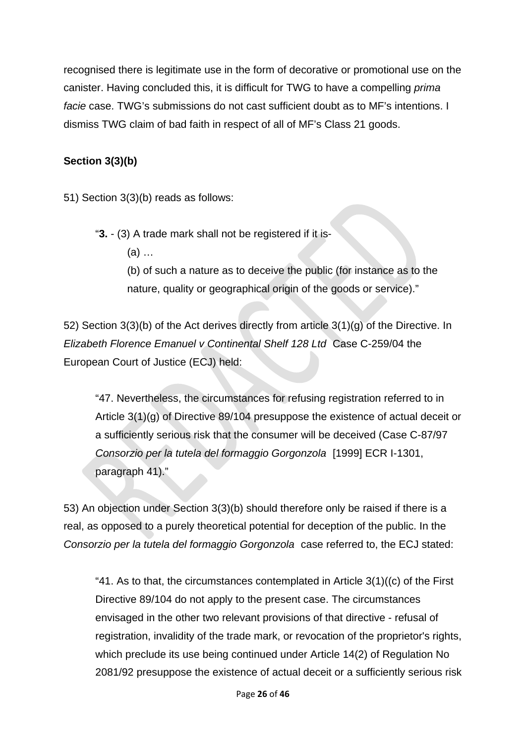recognised there is legitimate use in the form of decorative or promotional use on the canister. Having concluded this, it is difficult for TWG to have a compelling *prima facie* case. TWG's submissions do not cast sufficient doubt as to MF's intentions. I dismiss TWG claim of bad faith in respect of all of MF's Class 21 goods.

## **Section 3(3)(b)**

51) Section 3(3)(b) reads as follows:

"**3.** - (3) A trade mark shall not be registered if it is-

(a) …

(b) of such a nature as to deceive the public (for instance as to the nature, quality or geographical origin of the goods or service)."

52) Section 3(3)(b) of the Act derives directly from article 3(1)(g) of the Directive. In *Elizabeth Florence Emanuel v Continental Shelf 128 Ltd* Case C-259/04 the European Court of Justice (ECJ) held:

"47. Nevertheless, the circumstances for refusing registration referred to in Article 3(1)(g) of Directive 89/104 presuppose the existence of actual deceit or a sufficiently serious risk that the consumer will be deceived (Case C-87/97 *Consorzio per la tutela del formaggio Gorgonzola* [1999] ECR I-1301, paragraph 41)."

53) An objection under Section 3(3)(b) should therefore only be raised if there is a real, as opposed to a purely theoretical potential for deception of the public. In the *Consorzio per la tutela del formaggio Gorgonzola* case referred to, the ECJ stated:

"41. As to that, the circumstances contemplated in Article  $3(1)((c)$  of the First Directive 89/104 do not apply to the present case. The circumstances envisaged in the other two relevant provisions of that directive - refusal of registration, invalidity of the trade mark, or revocation of the proprietor's rights, which preclude its use being continued under Article 14(2) of Regulation No 2081/92 presuppose the existence of actual deceit or a sufficiently serious risk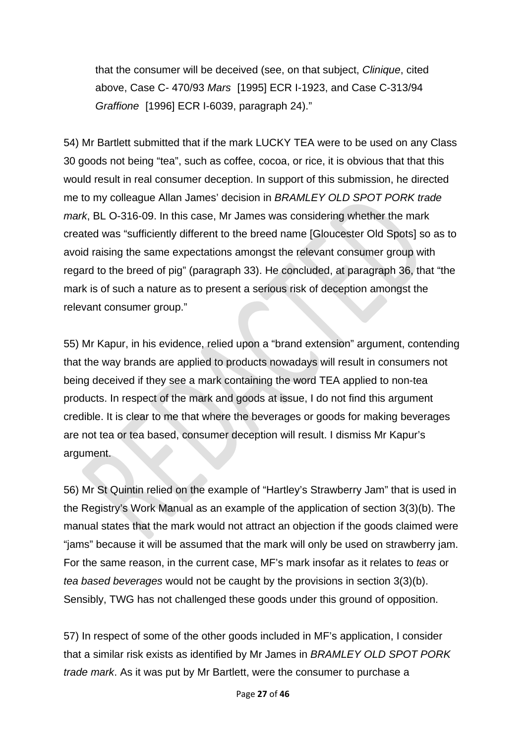that the consumer will be deceived (see, on that subject, *Clinique*, cited above, Case C- 470/93 *Mars* [1995] ECR I-1923, and Case C-313/94 *Graffione* [1996] ECR I-6039, paragraph 24)."

54) Mr Bartlett submitted that if the mark LUCKY TEA were to be used on any Class 30 goods not being "tea", such as coffee, cocoa, or rice, it is obvious that that this would result in real consumer deception. In support of this submission, he directed me to my colleague Allan James' decision in *BRAMLEY OLD SPOT PORK trade mark*, BL O-316-09. In this case, Mr James was considering whether the mark created was "sufficiently different to the breed name [Gloucester Old Spots] so as to avoid raising the same expectations amongst the relevant consumer group with regard to the breed of pig" (paragraph 33). He concluded, at paragraph 36, that "the mark is of such a nature as to present a serious risk of deception amongst the relevant consumer group."

55) Mr Kapur, in his evidence, relied upon a "brand extension" argument, contending that the way brands are applied to products nowadays will result in consumers not being deceived if they see a mark containing the word TEA applied to non-tea products. In respect of the mark and goods at issue, I do not find this argument credible. It is clear to me that where the beverages or goods for making beverages are not tea or tea based, consumer deception will result. I dismiss Mr Kapur's argument.

56) Mr St Quintin relied on the example of "Hartley's Strawberry Jam" that is used in the Registry's Work Manual as an example of the application of section 3(3)(b). The manual states that the mark would not attract an objection if the goods claimed were "jams" because it will be assumed that the mark will only be used on strawberry jam. For the same reason, in the current case, MF's mark insofar as it relates to *teas* or *tea based beverages* would not be caught by the provisions in section 3(3)(b). Sensibly, TWG has not challenged these goods under this ground of opposition.

57) In respect of some of the other goods included in MF's application, I consider that a similar risk exists as identified by Mr James in *BRAMLEY OLD SPOT PORK trade mark*. As it was put by Mr Bartlett, were the consumer to purchase a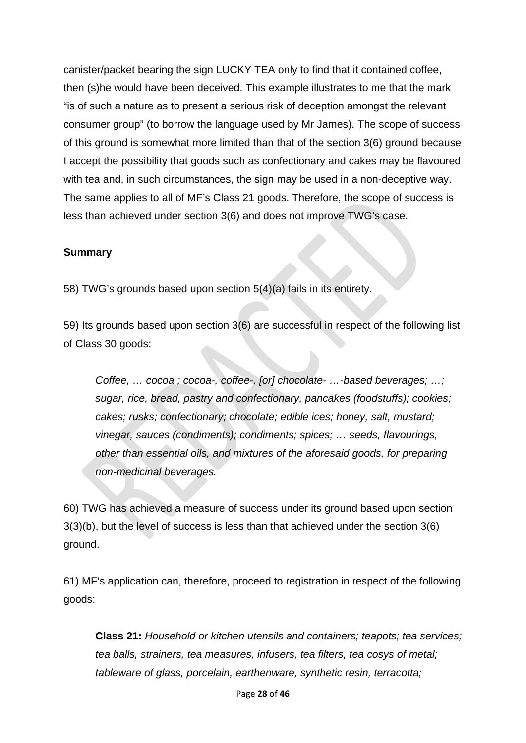canister/packet bearing the sign LUCKY TEA only to find that it contained coffee, then (s)he would have been deceived. This example illustrates to me that the mark "is of such a nature as to present a serious risk of deception amongst the relevant consumer group" (to borrow the language used by Mr James). The scope of success of this ground is somewhat more limited than that of the section 3(6) ground because I accept the possibility that goods such as confectionary and cakes may be flavoured with tea and, in such circumstances, the sign may be used in a non-deceptive way. The same applies to all of MF's Class 21 goods. Therefore, the scope of success is less than achieved under section 3(6) and does not improve TWG's case.

#### **Summary**

58) TWG's grounds based upon section 5(4)(a) fails in its entirety.

59) Its grounds based upon section 3(6) are successful in respect of the following list of Class 30 goods:

*Coffee, … cocoa ; cocoa-, coffee-, [or] chocolate- …-based beverages; …; sugar, rice, bread, pastry and confectionary, pancakes (foodstuffs); cookies; cakes; rusks; confectionary; chocolate; edible ices; honey, salt, mustard; vinegar, sauces (condiments); condiments; spices; … seeds, flavourings, other than essential oils, and mixtures of the aforesaid goods, for preparing non-medicinal beverages.* 

60) TWG has achieved a measure of success under its ground based upon section 3(3)(b), but the level of success is less than that achieved under the section 3(6) ground.

61) MF's application can, therefore, proceed to registration in respect of the following goods:

**Class 21:** *Household or kitchen utensils and containers; teapots; tea services; tea balls, strainers, tea measures, infusers, tea filters, tea cosys of metal; tableware of glass, porcelain, earthenware, synthetic resin, terracotta;*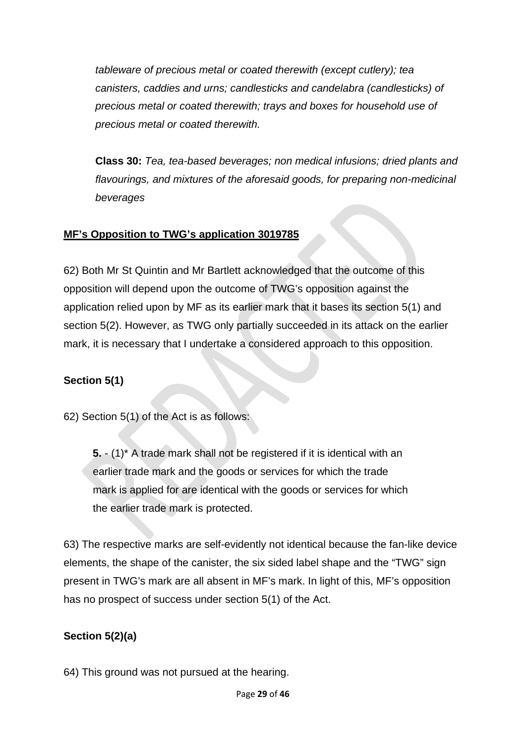*tableware of precious metal or coated therewith (except cutlery); tea canisters, caddies and urns; candlesticks and candelabra (candlesticks) of precious metal or coated therewith; trays and boxes for household use of precious metal or coated therewith.*

**Class 30:** *Tea, tea-based beverages; non medical infusions; dried plants and flavourings, and mixtures of the aforesaid goods, for preparing non-medicinal beverages*

## **MF's Opposition to TWG's application 3019785**

62) Both Mr St Quintin and Mr Bartlett acknowledged that the outcome of this opposition will depend upon the outcome of TWG's opposition against the application relied upon by MF as its earlier mark that it bases its section 5(1) and section 5(2). However, as TWG only partially succeeded in its attack on the earlier mark, it is necessary that I undertake a considered approach to this opposition.

## **Section 5(1)**

62) Section 5(1) of the Act is as follows:

**5.** - (1)\* A trade mark shall not be registered if it is identical with an earlier trade mark and the goods or services for which the trade mark is applied for are identical with the goods or services for which the earlier trade mark is protected.

63) The respective marks are self-evidently not identical because the fan-like device elements, the shape of the canister, the six sided label shape and the "TWG" sign present in TWG's mark are all absent in MF's mark. In light of this, MF's opposition has no prospect of success under section 5(1) of the Act.

## **Section 5(2)(a)**

64) This ground was not pursued at the hearing.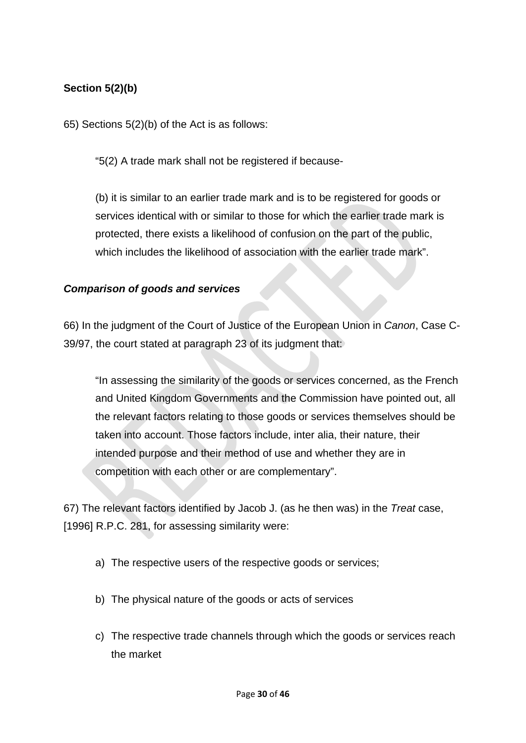## **Section 5(2)(b)**

65) Sections 5(2)(b) of the Act is as follows:

"5(2) A trade mark shall not be registered if because-

(b) it is similar to an earlier trade mark and is to be registered for goods or services identical with or similar to those for which the earlier trade mark is protected, there exists a likelihood of confusion on the part of the public, which includes the likelihood of association with the earlier trade mark".

### *Comparison of goods and services*

66) In the judgment of the Court of Justice of the European Union in *Canon*, Case C-39/97, the court stated at paragraph 23 of its judgment that:

"In assessing the similarity of the goods or services concerned, as the French and United Kingdom Governments and the Commission have pointed out, all the relevant factors relating to those goods or services themselves should be taken into account. Those factors include, inter alia, their nature, their intended purpose and their method of use and whether they are in competition with each other or are complementary".

67) The relevant factors identified by Jacob J. (as he then was) in the *Treat* case, [1996] R.P.C. 281, for assessing similarity were:

- a) The respective users of the respective goods or services;
- b) The physical nature of the goods or acts of services
- c) The respective trade channels through which the goods or services reach the market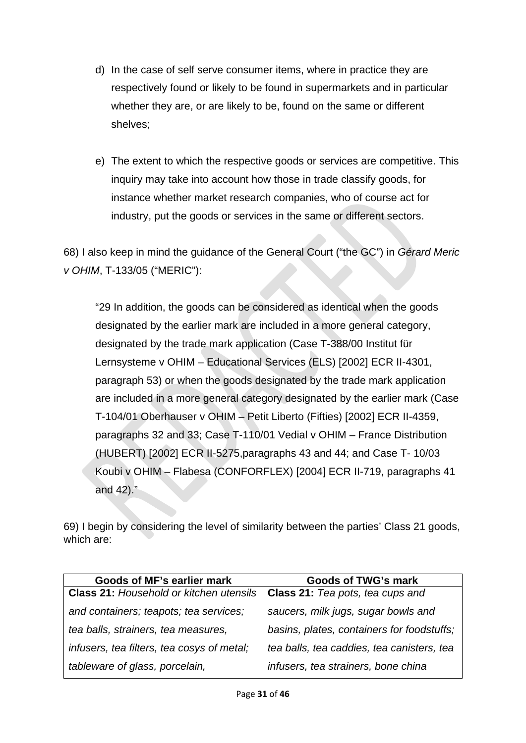- d) In the case of self serve consumer items, where in practice they are respectively found or likely to be found in supermarkets and in particular whether they are, or are likely to be, found on the same or different shelves;
- e) The extent to which the respective goods or services are competitive. This inquiry may take into account how those in trade classify goods, for instance whether market research companies, who of course act for industry, put the goods or services in the same or different sectors.

68) I also keep in mind the guidance of the General Court ("the GC") in *Gérard Meric v OHIM*, T-133/05 ("MERIC"):

"29 In addition, the goods can be considered as identical when the goods designated by the earlier mark are included in a more general category, designated by the trade mark application (Case T-388/00 Institut für Lernsysteme v OHIM – Educational Services (ELS) [2002] ECR II-4301, paragraph 53) or when the goods designated by the trade mark application are included in a more general category designated by the earlier mark (Case T-104/01 Oberhauser v OHIM – Petit Liberto (Fifties) [2002] ECR II-4359, paragraphs 32 and 33; Case T-110/01 Vedial v OHIM – France Distribution (HUBERT) [2002] ECR II-5275,paragraphs 43 and 44; and Case T- 10/03 Koubi v OHIM – Flabesa (CONFORFLEX) [2004] ECR II-719, paragraphs 41 and 42)."

69) I begin by considering the level of similarity between the parties' Class 21 goods, which are:

| Goods of MF's earlier mark                     | <b>Goods of TWG's mark</b>                 |
|------------------------------------------------|--------------------------------------------|
| <b>Class 21: Household or kitchen utensils</b> | Class 21: Tea pots, tea cups and           |
| and containers; teapots; tea services;         | saucers, milk jugs, sugar bowls and        |
| tea balls, strainers, tea measures,            | basins, plates, containers for foodstuffs; |
| infusers, tea filters, tea cosys of metal;     | tea balls, tea caddies, tea canisters, tea |
| tableware of glass, porcelain,                 | infusers, tea strainers, bone china        |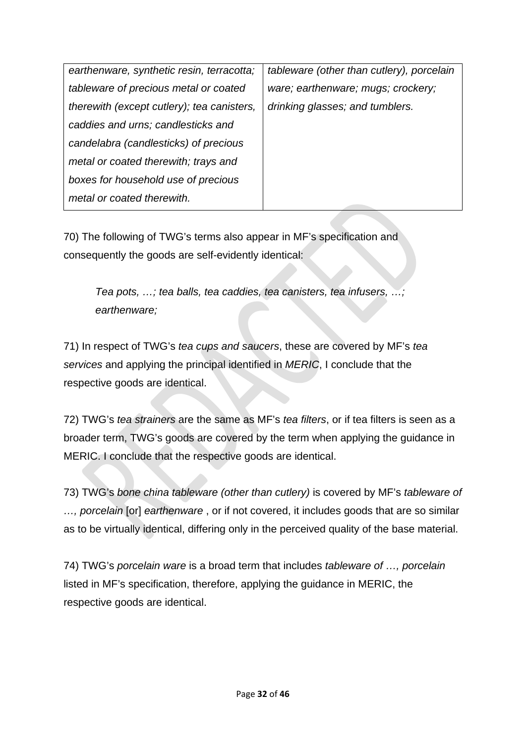| earthenware, synthetic resin, terracotta;  | tableware (other than cutlery), porcelain |
|--------------------------------------------|-------------------------------------------|
| tableware of precious metal or coated      | ware; earthenware; mugs; crockery;        |
| therewith (except cutlery); tea canisters, | drinking glasses; and tumblers.           |
| caddies and urns; candlesticks and         |                                           |
| candelabra (candlesticks) of precious      |                                           |
| metal or coated therewith; trays and       |                                           |
| boxes for household use of precious        |                                           |
| metal or coated therewith.                 |                                           |
|                                            |                                           |

70) The following of TWG's terms also appear in MF's specification and consequently the goods are self-evidently identical:

*Tea pots, …; tea balls, tea caddies, tea canisters, tea infusers, …; earthenware;* 

71) In respect of TWG's *tea cups and saucers*, these are covered by MF's *tea services* and applying the principal identified in *MERIC*, I conclude that the respective goods are identical.

72) TWG's *tea strainers* are the same as MF's *tea filters*, or if tea filters is seen as a broader term, TWG's goods are covered by the term when applying the guidance in MERIC. I conclude that the respective goods are identical.

73) TWG's *bone china tableware (other than cutlery)* is covered by MF's *tableware of …, porcelain* [or] *earthenware* , or if not covered, it includes goods that are so similar as to be virtually identical, differing only in the perceived quality of the base material.

74) TWG's *porcelain ware* is a broad term that includes *tableware of …, porcelain* listed in MF's specification, therefore, applying the guidance in MERIC, the respective goods are identical.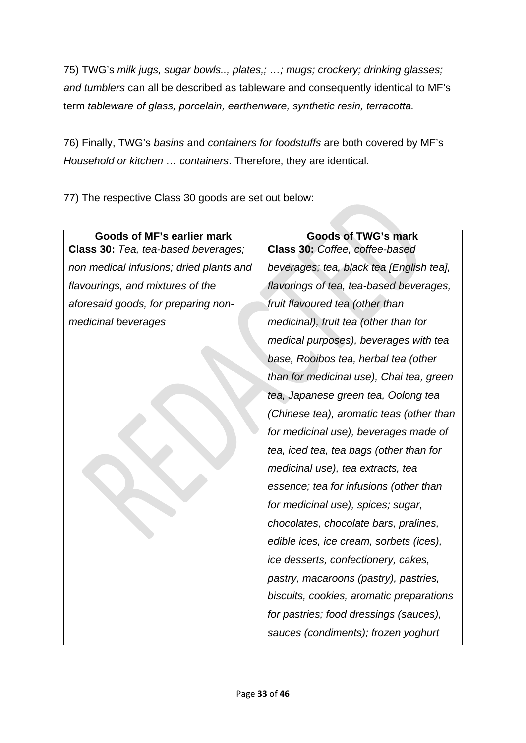75) TWG's *milk jugs, sugar bowls.., plates,; …; mugs; crockery; drinking glasses; and tumblers* can all be described as tableware and consequently identical to MF's term *tableware of glass, porcelain, earthenware, synthetic resin, terracotta.*

76) Finally, TWG's *basins* and *containers for foodstuffs* are both covered by MF's *Household or kitchen … containers*. Therefore, they are identical.

77) The respective Class 30 goods are set out below:

| Goods of MF's earlier mark              | <b>Goods of TWG's mark</b>               |
|-----------------------------------------|------------------------------------------|
| Class 30: Tea, tea-based beverages;     | Class 30: Coffee, coffee-based           |
| non medical infusions; dried plants and | beverages; tea, black tea [English tea], |
| flavourings, and mixtures of the        | flavorings of tea, tea-based beverages,  |
| aforesaid goods, for preparing non-     | fruit flavoured tea (other than          |
| medicinal beverages                     | medicinal), fruit tea (other than for    |
|                                         | medical purposes), beverages with tea    |
|                                         | base, Rooibos tea, herbal tea (other     |
|                                         | than for medicinal use), Chai tea, green |
|                                         | tea, Japanese green tea, Oolong tea      |
|                                         | (Chinese tea), aromatic teas (other than |
|                                         | for medicinal use), beverages made of    |
|                                         | tea, iced tea, tea bags (other than for  |
|                                         | medicinal use), tea extracts, tea        |
|                                         | essence; tea for infusions (other than   |
|                                         | for medicinal use), spices; sugar,       |
|                                         | chocolates, chocolate bars, pralines,    |
|                                         | edible ices, ice cream, sorbets (ices),  |
|                                         | ice desserts, confectionery, cakes,      |
|                                         | pastry, macaroons (pastry), pastries,    |
|                                         | biscuits, cookies, aromatic preparations |
|                                         | for pastries; food dressings (sauces),   |
|                                         | sauces (condiments); frozen yoghurt      |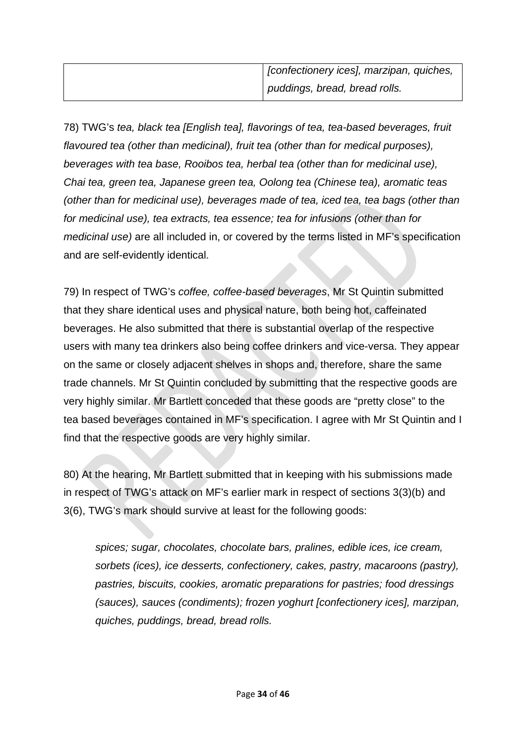78) TWG's *tea, black tea [English tea], flavorings of tea, tea-based beverages, fruit flavoured tea (other than medicinal), fruit tea (other than for medical purposes), beverages with tea base, Rooibos tea, herbal tea (other than for medicinal use), Chai tea, green tea, Japanese green tea, Oolong tea (Chinese tea), aromatic teas (other than for medicinal use), beverages made of tea, iced tea, tea bags (other than for medicinal use), tea extracts, tea essence; tea for infusions (other than for medicinal use)* are all included in, or covered by the terms listed in MF's specification and are self-evidently identical.

79) In respect of TWG's *coffee, coffee-based beverages*, Mr St Quintin submitted that they share identical uses and physical nature, both being hot, caffeinated beverages. He also submitted that there is substantial overlap of the respective users with many tea drinkers also being coffee drinkers and vice-versa. They appear on the same or closely adjacent shelves in shops and, therefore, share the same trade channels. Mr St Quintin concluded by submitting that the respective goods are very highly similar. Mr Bartlett conceded that these goods are "pretty close" to the tea based beverages contained in MF's specification. I agree with Mr St Quintin and I find that the respective goods are very highly similar.

80) At the hearing, Mr Bartlett submitted that in keeping with his submissions made in respect of TWG's attack on MF's earlier mark in respect of sections 3(3)(b) and 3(6), TWG's mark should survive at least for the following goods:

*spices; sugar, chocolates, chocolate bars, pralines, edible ices, ice cream, sorbets (ices), ice desserts, confectionery, cakes, pastry, macaroons (pastry), pastries, biscuits, cookies, aromatic preparations for pastries; food dressings (sauces), sauces (condiments); frozen yoghurt [confectionery ices], marzipan, quiches, puddings, bread, bread rolls.*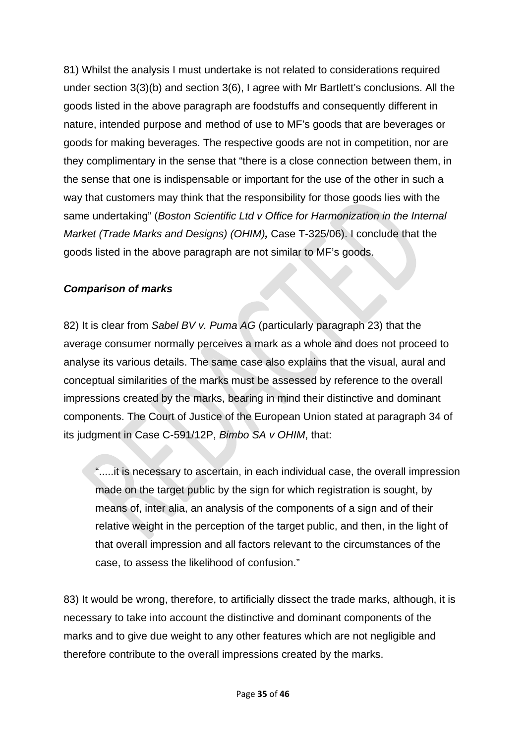81) Whilst the analysis I must undertake is not related to considerations required under section 3(3)(b) and section 3(6), I agree with Mr Bartlett's conclusions. All the goods listed in the above paragraph are foodstuffs and consequently different in nature, intended purpose and method of use to MF's goods that are beverages or goods for making beverages. The respective goods are not in competition, nor are they complimentary in the sense that "there is a close connection between them, in the sense that one is indispensable or important for the use of the other in such a way that customers may think that the responsibility for those goods lies with the same undertaking" (*Boston Scientific Ltd v Office for Harmonization in the Internal Market (Trade Marks and Designs) (OHIM),* Case T-325/06). I conclude that the goods listed in the above paragraph are not similar to MF's goods.

## *Comparison of marks*

82) It is clear from *Sabel BV v. Puma AG* (particularly paragraph 23) that the average consumer normally perceives a mark as a whole and does not proceed to analyse its various details. The same case also explains that the visual, aural and conceptual similarities of the marks must be assessed by reference to the overall impressions created by the marks, bearing in mind their distinctive and dominant components. The Court of Justice of the European Union stated at paragraph 34 of its judgment in Case C-591/12P, *Bimbo SA v OHIM*, that:

".....it is necessary to ascertain, in each individual case, the overall impression made on the target public by the sign for which registration is sought, by means of, inter alia, an analysis of the components of a sign and of their relative weight in the perception of the target public, and then, in the light of that overall impression and all factors relevant to the circumstances of the case, to assess the likelihood of confusion."

83) It would be wrong, therefore, to artificially dissect the trade marks, although, it is necessary to take into account the distinctive and dominant components of the marks and to give due weight to any other features which are not negligible and therefore contribute to the overall impressions created by the marks.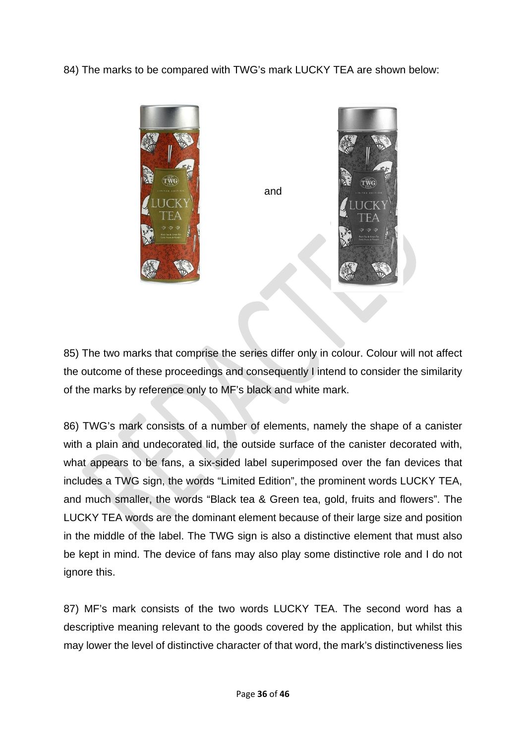84) The marks to be compared with TWG's mark LUCKY TEA are shown below:



85) The two marks that comprise the series differ only in colour. Colour will not affect the outcome of these proceedings and consequently I intend to consider the similarity of the marks by reference only to MF's black and white mark.

86) TWG's mark consists of a number of elements, namely the shape of a canister with a plain and undecorated lid, the outside surface of the canister decorated with, what appears to be fans, a six-sided label superimposed over the fan devices that includes a TWG sign, the words "Limited Edition", the prominent words LUCKY TEA, and much smaller, the words "Black tea & Green tea, gold, fruits and flowers". The LUCKY TEA words are the dominant element because of their large size and position in the middle of the label. The TWG sign is also a distinctive element that must also be kept in mind. The device of fans may also play some distinctive role and I do not ignore this.

87) MF's mark consists of the two words LUCKY TEA. The second word has a descriptive meaning relevant to the goods covered by the application, but whilst this may lower the level of distinctive character of that word, the mark's distinctiveness lies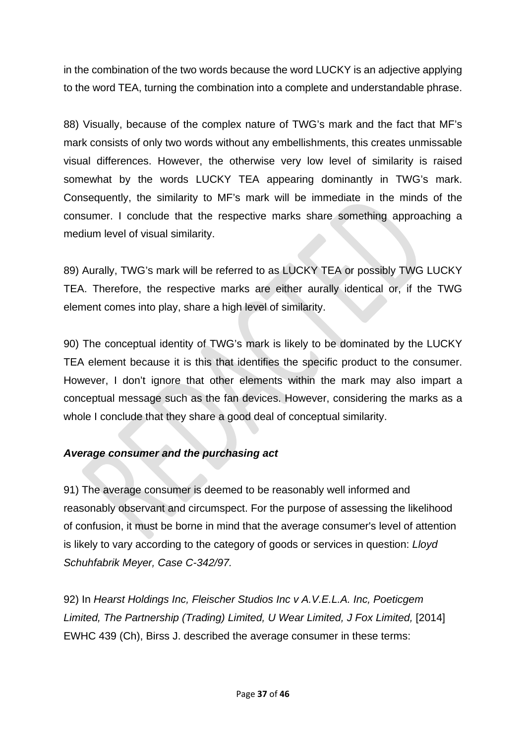in the combination of the two words because the word LUCKY is an adjective applying to the word TEA, turning the combination into a complete and understandable phrase.

88) Visually, because of the complex nature of TWG's mark and the fact that MF's mark consists of only two words without any embellishments, this creates unmissable visual differences. However, the otherwise very low level of similarity is raised somewhat by the words LUCKY TEA appearing dominantly in TWG's mark. Consequently, the similarity to MF's mark will be immediate in the minds of the consumer. I conclude that the respective marks share something approaching a medium level of visual similarity.

89) Aurally, TWG's mark will be referred to as LUCKY TEA or possibly TWG LUCKY TEA. Therefore, the respective marks are either aurally identical or, if the TWG element comes into play, share a high level of similarity.

90) The conceptual identity of TWG's mark is likely to be dominated by the LUCKY TEA element because it is this that identifies the specific product to the consumer. However, I don't ignore that other elements within the mark may also impart a conceptual message such as the fan devices. However, considering the marks as a whole I conclude that they share a good deal of conceptual similarity.

### *Average consumer and the purchasing act*

91) The average consumer is deemed to be reasonably well informed and reasonably observant and circumspect. For the purpose of assessing the likelihood of confusion, it must be borne in mind that the average consumer's level of attention is likely to vary according to the category of goods or services in question: *Lloyd Schuhfabrik Meyer, Case C-342/97.* 

92) In *Hearst Holdings Inc, Fleischer Studios Inc v A.V.E.L.A. Inc, Poeticgem Limited, The Partnership (Trading) Limited, U Wear Limited, J Fox Limited,* [2014] EWHC 439 (Ch), Birss J. described the average consumer in these terms: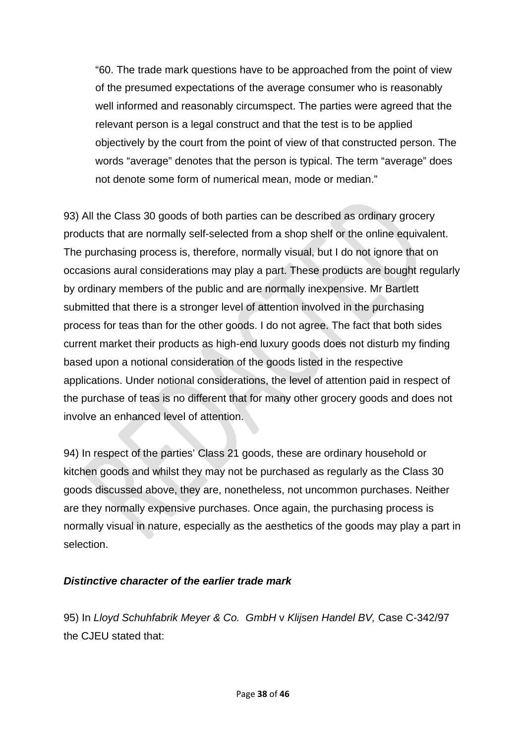"60. The trade mark questions have to be approached from the point of view of the presumed expectations of the average consumer who is reasonably well informed and reasonably circumspect. The parties were agreed that the relevant person is a legal construct and that the test is to be applied objectively by the court from the point of view of that constructed person. The words "average" denotes that the person is typical. The term "average" does not denote some form of numerical mean, mode or median."

93) All the Class 30 goods of both parties can be described as ordinary grocery products that are normally self-selected from a shop shelf or the online equivalent. The purchasing process is, therefore, normally visual, but I do not ignore that on occasions aural considerations may play a part. These products are bought regularly by ordinary members of the public and are normally inexpensive. Mr Bartlett submitted that there is a stronger level of attention involved in the purchasing process for teas than for the other goods. I do not agree. The fact that both sides current market their products as high-end luxury goods does not disturb my finding based upon a notional consideration of the goods listed in the respective applications. Under notional considerations, the level of attention paid in respect of the purchase of teas is no different that for many other grocery goods and does not involve an enhanced level of attention.

94) In respect of the parties' Class 21 goods, these are ordinary household or kitchen goods and whilst they may not be purchased as regularly as the Class 30 goods discussed above, they are, nonetheless, not uncommon purchases. Neither are they normally expensive purchases. Once again, the purchasing process is normally visual in nature, especially as the aesthetics of the goods may play a part in selection.

#### *Distinctive character of the earlier trade mark*

95) In *Lloyd Schuhfabrik Meyer & Co. GmbH* v *Klijsen Handel BV,* Case C-342/97 the CJEU stated that: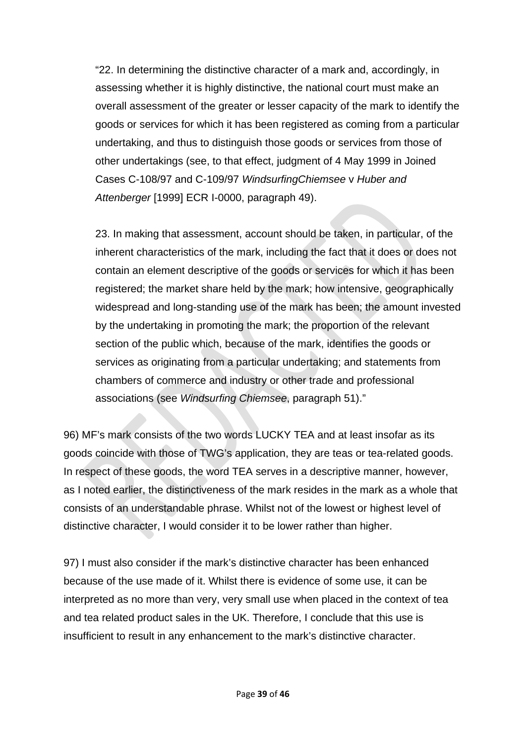"22. In determining the distinctive character of a mark and, accordingly, in assessing whether it is highly distinctive, the national court must make an overall assessment of the greater or lesser capacity of the mark to identify the goods or services for which it has been registered as coming from a particular undertaking, and thus to distinguish those goods or services from those of other undertakings (see, to that effect, judgment of 4 May 1999 in Joined Cases C-108/97 and C-109/97 *WindsurfingChiemsee* v *Huber and Attenberger* [1999] ECR I-0000, paragraph 49).

23. In making that assessment, account should be taken, in particular, of the inherent characteristics of the mark, including the fact that it does or does not contain an element descriptive of the goods or services for which it has been registered; the market share held by the mark; how intensive, geographically widespread and long-standing use of the mark has been; the amount invested by the undertaking in promoting the mark; the proportion of the relevant section of the public which, because of the mark, identifies the goods or services as originating from a particular undertaking; and statements from chambers of commerce and industry or other trade and professional associations (see *Windsurfing Chiemsee*, paragraph 51)."

96) MF's mark consists of the two words LUCKY TEA and at least insofar as its goods coincide with those of TWG's application, they are teas or tea-related goods. In respect of these goods, the word TEA serves in a descriptive manner, however, as I noted earlier, the distinctiveness of the mark resides in the mark as a whole that consists of an understandable phrase. Whilst not of the lowest or highest level of distinctive character, I would consider it to be lower rather than higher.

97) I must also consider if the mark's distinctive character has been enhanced because of the use made of it. Whilst there is evidence of some use, it can be interpreted as no more than very, very small use when placed in the context of tea and tea related product sales in the UK. Therefore, I conclude that this use is insufficient to result in any enhancement to the mark's distinctive character.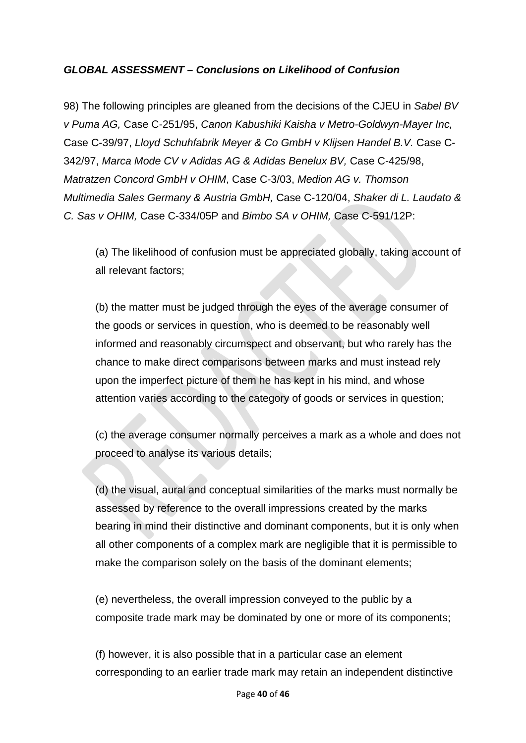## *GLOBAL ASSESSMENT – Conclusions on Likelihood of Confusion*

98) The following principles are gleaned from the decisions of the CJEU in *Sabel BV v Puma AG,* Case C-251/95, *Canon Kabushiki Kaisha v Metro-Goldwyn-Mayer Inc,*  Case C-39/97, *Lloyd Schuhfabrik Meyer & Co GmbH v Klijsen Handel B.V.* Case C-342/97, *Marca Mode CV v Adidas AG & Adidas Benelux BV,* Case C-425/98, *Matratzen Concord GmbH v OHIM*, Case C-3/03, *Medion AG v. Thomson Multimedia Sales Germany & Austria GmbH,* Case C-120/04, *Shaker di L. Laudato & C. Sas v OHIM,* Case C-334/05P and *Bimbo SA v OHIM,* Case C-591/12P:

(a) The likelihood of confusion must be appreciated globally, taking account of all relevant factors;

(b) the matter must be judged through the eyes of the average consumer of the goods or services in question, who is deemed to be reasonably well informed and reasonably circumspect and observant, but who rarely has the chance to make direct comparisons between marks and must instead rely upon the imperfect picture of them he has kept in his mind, and whose attention varies according to the category of goods or services in question;

(c) the average consumer normally perceives a mark as a whole and does not proceed to analyse its various details;

(d) the visual, aural and conceptual similarities of the marks must normally be assessed by reference to the overall impressions created by the marks bearing in mind their distinctive and dominant components, but it is only when all other components of a complex mark are negligible that it is permissible to make the comparison solely on the basis of the dominant elements;

(e) nevertheless, the overall impression conveyed to the public by a composite trade mark may be dominated by one or more of its components;

(f) however, it is also possible that in a particular case an element corresponding to an earlier trade mark may retain an independent distinctive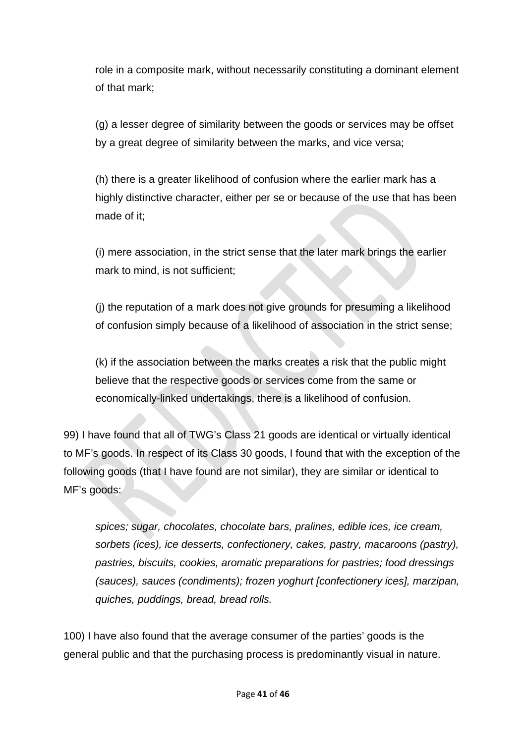role in a composite mark, without necessarily constituting a dominant element of that mark;

(g) a lesser degree of similarity between the goods or services may be offset by a great degree of similarity between the marks, and vice versa;

(h) there is a greater likelihood of confusion where the earlier mark has a highly distinctive character, either per se or because of the use that has been made of it;

(i) mere association, in the strict sense that the later mark brings the earlier mark to mind, is not sufficient;

(j) the reputation of a mark does not give grounds for presuming a likelihood of confusion simply because of a likelihood of association in the strict sense;

(k) if the association between the marks creates a risk that the public might believe that the respective goods or services come from the same or economically-linked undertakings, there is a likelihood of confusion.

99) I have found that all of TWG's Class 21 goods are identical or virtually identical to MF's goods. In respect of its Class 30 goods, I found that with the exception of the following goods (that I have found are not similar), they are similar or identical to MF's goods:

*spices; sugar, chocolates, chocolate bars, pralines, edible ices, ice cream, sorbets (ices), ice desserts, confectionery, cakes, pastry, macaroons (pastry), pastries, biscuits, cookies, aromatic preparations for pastries; food dressings (sauces), sauces (condiments); frozen yoghurt [confectionery ices], marzipan, quiches, puddings, bread, bread rolls.*

100) I have also found that the average consumer of the parties' goods is the general public and that the purchasing process is predominantly visual in nature.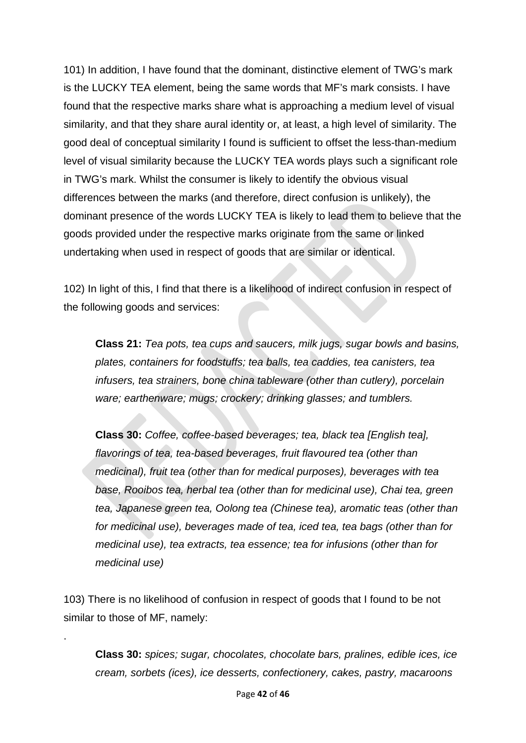101) In addition, I have found that the dominant, distinctive element of TWG's mark is the LUCKY TEA element, being the same words that MF's mark consists. I have found that the respective marks share what is approaching a medium level of visual similarity, and that they share aural identity or, at least, a high level of similarity. The good deal of conceptual similarity I found is sufficient to offset the less-than-medium level of visual similarity because the LUCKY TEA words plays such a significant role in TWG's mark. Whilst the consumer is likely to identify the obvious visual differences between the marks (and therefore, direct confusion is unlikely), the dominant presence of the words LUCKY TEA is likely to lead them to believe that the goods provided under the respective marks originate from the same or linked undertaking when used in respect of goods that are similar or identical.

102) In light of this, I find that there is a likelihood of indirect confusion in respect of the following goods and services:

**Class 21:** *Tea pots, tea cups and saucers, milk jugs, sugar bowls and basins, plates, containers for foodstuffs; tea balls, tea caddies, tea canisters, tea infusers, tea strainers, bone china tableware (other than cutlery), porcelain ware; earthenware; mugs; crockery; drinking glasses; and tumblers.*

**Class 30:** *Coffee, coffee-based beverages; tea, black tea [English tea], flavorings of tea, tea-based beverages, fruit flavoured tea (other than medicinal), fruit tea (other than for medical purposes), beverages with tea base, Rooibos tea, herbal tea (other than for medicinal use), Chai tea, green tea, Japanese green tea, Oolong tea (Chinese tea), aromatic teas (other than for medicinal use), beverages made of tea, iced tea, tea bags (other than for medicinal use), tea extracts, tea essence; tea for infusions (other than for medicinal use)*

103) There is no likelihood of confusion in respect of goods that I found to be not similar to those of MF, namely:

.

**Class 30:** *spices; sugar, chocolates, chocolate bars, pralines, edible ices, ice cream, sorbets (ices), ice desserts, confectionery, cakes, pastry, macaroons*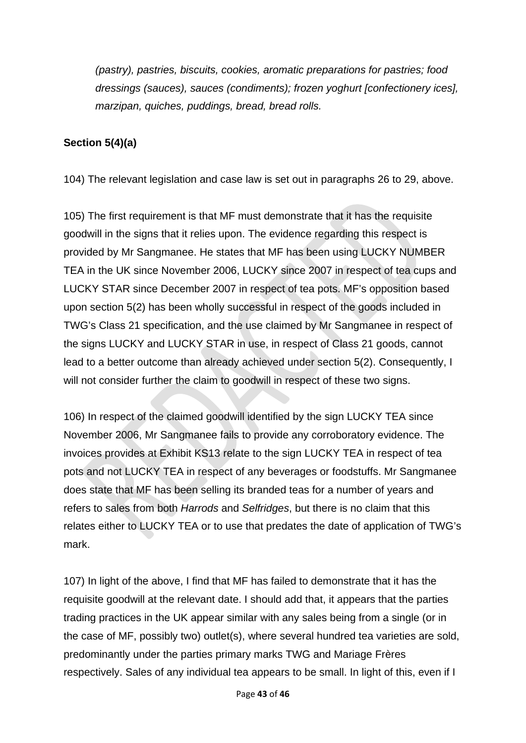*(pastry), pastries, biscuits, cookies, aromatic preparations for pastries; food dressings (sauces), sauces (condiments); frozen yoghurt [confectionery ices], marzipan, quiches, puddings, bread, bread rolls.*

## **Section 5(4)(a)**

104) The relevant legislation and case law is set out in paragraphs 26 to 29, above.

105) The first requirement is that MF must demonstrate that it has the requisite goodwill in the signs that it relies upon. The evidence regarding this respect is provided by Mr Sangmanee. He states that MF has been using LUCKY NUMBER TEA in the UK since November 2006, LUCKY since 2007 in respect of tea cups and LUCKY STAR since December 2007 in respect of tea pots. MF's opposition based upon section 5(2) has been wholly successful in respect of the goods included in TWG's Class 21 specification, and the use claimed by Mr Sangmanee in respect of the signs LUCKY and LUCKY STAR in use, in respect of Class 21 goods, cannot lead to a better outcome than already achieved under section 5(2). Consequently, I will not consider further the claim to goodwill in respect of these two signs.

106) In respect of the claimed goodwill identified by the sign LUCKY TEA since November 2006, Mr Sangmanee fails to provide any corroboratory evidence. The invoices provides at Exhibit KS13 relate to the sign LUCKY TEA in respect of tea pots and not LUCKY TEA in respect of any beverages or foodstuffs. Mr Sangmanee does state that MF has been selling its branded teas for a number of years and refers to sales from both *Harrods* and *Selfridges*, but there is no claim that this relates either to LUCKY TEA or to use that predates the date of application of TWG's mark.

107) In light of the above, I find that MF has failed to demonstrate that it has the requisite goodwill at the relevant date. I should add that, it appears that the parties trading practices in the UK appear similar with any sales being from a single (or in the case of MF, possibly two) outlet(s), where several hundred tea varieties are sold, predominantly under the parties primary marks TWG and Mariage Frères respectively. Sales of any individual tea appears to be small. In light of this, even if I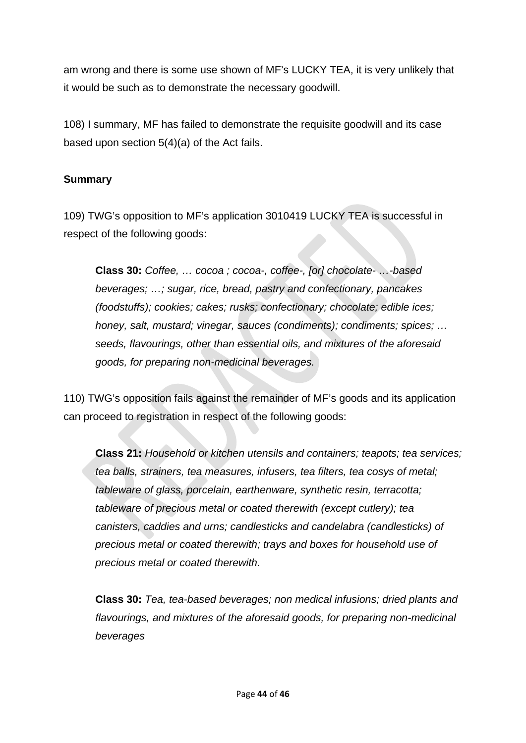am wrong and there is some use shown of MF's LUCKY TEA, it is very unlikely that it would be such as to demonstrate the necessary goodwill.

108) I summary, MF has failed to demonstrate the requisite goodwill and its case based upon section 5(4)(a) of the Act fails.

## **Summary**

109) TWG's opposition to MF's application 3010419 LUCKY TEA is successful in respect of the following goods:

**Class 30:** *Coffee, … cocoa ; cocoa-, coffee-, [or] chocolate- …-based beverages; …; sugar, rice, bread, pastry and confectionary, pancakes (foodstuffs); cookies; cakes; rusks; confectionary; chocolate; edible ices; honey, salt, mustard; vinegar, sauces (condiments); condiments; spices; … seeds, flavourings, other than essential oils, and mixtures of the aforesaid goods, for preparing non-medicinal beverages.* 

110) TWG's opposition fails against the remainder of MF's goods and its application can proceed to registration in respect of the following goods:

**Class 21:** *Household or kitchen utensils and containers; teapots; tea services; tea balls, strainers, tea measures, infusers, tea filters, tea cosys of metal; tableware of glass, porcelain, earthenware, synthetic resin, terracotta; tableware of precious metal or coated therewith (except cutlery); tea canisters, caddies and urns; candlesticks and candelabra (candlesticks) of precious metal or coated therewith; trays and boxes for household use of precious metal or coated therewith.*

**Class 30:** *Tea, tea-based beverages; non medical infusions; dried plants and flavourings, and mixtures of the aforesaid goods, for preparing non-medicinal beverages*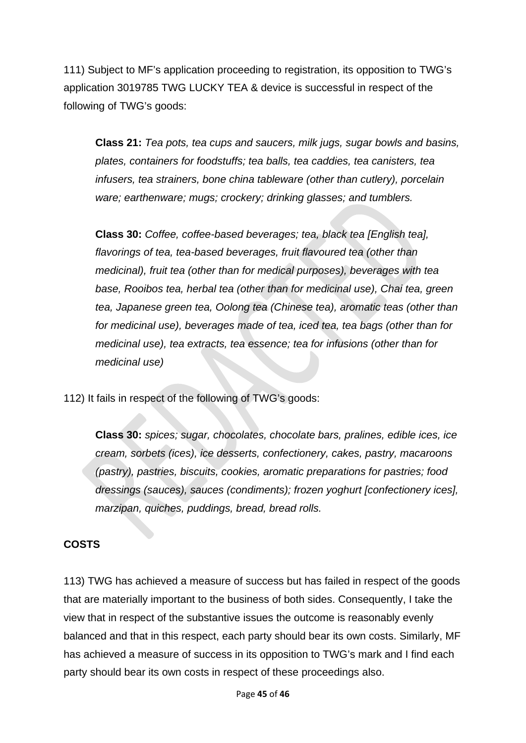111) Subject to MF's application proceeding to registration, its opposition to TWG's application 3019785 TWG LUCKY TEA & device is successful in respect of the following of TWG's goods:

**Class 21:** *Tea pots, tea cups and saucers, milk jugs, sugar bowls and basins, plates, containers for foodstuffs; tea balls, tea caddies, tea canisters, tea infusers, tea strainers, bone china tableware (other than cutlery), porcelain ware; earthenware; mugs; crockery; drinking glasses; and tumblers.*

**Class 30:** *Coffee, coffee-based beverages; tea, black tea [English tea], flavorings of tea, tea-based beverages, fruit flavoured tea (other than medicinal), fruit tea (other than for medical purposes), beverages with tea base, Rooibos tea, herbal tea (other than for medicinal use), Chai tea, green tea, Japanese green tea, Oolong tea (Chinese tea), aromatic teas (other than for medicinal use), beverages made of tea, iced tea, tea bags (other than for medicinal use), tea extracts, tea essence; tea for infusions (other than for medicinal use)*

112) It fails in respect of the following of TWG's goods:

**Class 30:** *spices; sugar, chocolates, chocolate bars, pralines, edible ices, ice cream, sorbets (ices), ice desserts, confectionery, cakes, pastry, macaroons (pastry), pastries, biscuits, cookies, aromatic preparations for pastries; food dressings (sauces), sauces (condiments); frozen yoghurt [confectionery ices], marzipan, quiches, puddings, bread, bread rolls.*

### **COSTS**

113) TWG has achieved a measure of success but has failed in respect of the goods that are materially important to the business of both sides. Consequently, I take the view that in respect of the substantive issues the outcome is reasonably evenly balanced and that in this respect, each party should bear its own costs. Similarly, MF has achieved a measure of success in its opposition to TWG's mark and I find each party should bear its own costs in respect of these proceedings also.